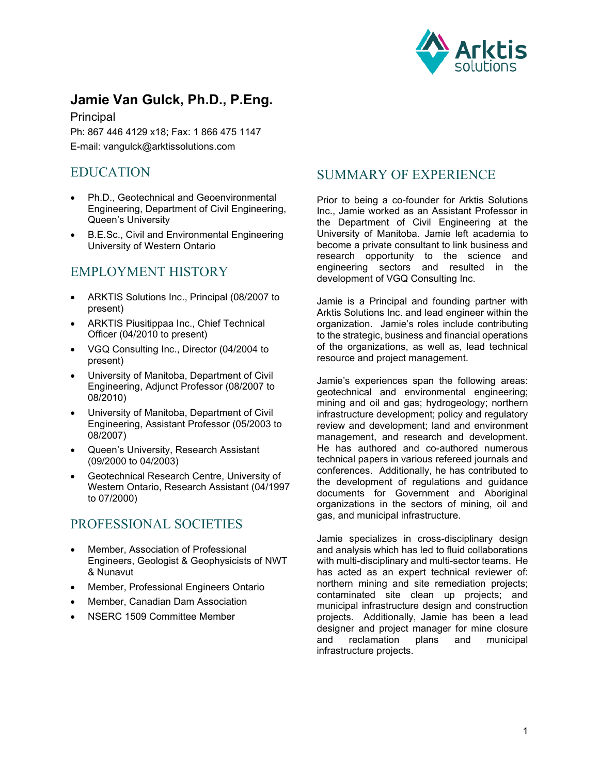

# **Jamie Van Gulck, Ph.D., P.Eng.**

Principal Ph: 867 446 4129 x18; Fax: 1 866 475 1147 E-mail: vangulck@arktissolutions.com

## EDUCATION

- Ph.D., Geotechnical and Geoenvironmental Engineering, Department of Civil Engineering, Queen's University
- B.E.Sc., Civil and Environmental Engineering University of Western Ontario

## EMPLOYMENT HISTORY

- ARKTIS Solutions Inc., Principal (08/2007 to present)
- ARKTIS Piusitippaa Inc., Chief Technical Officer (04/2010 to present)
- VGQ Consulting Inc., Director (04/2004 to present)
- University of Manitoba, Department of Civil Engineering, Adjunct Professor (08/2007 to 08/2010)
- University of Manitoba, Department of Civil Engineering, Assistant Professor (05/2003 to 08/2007)
- Queen's University, Research Assistant (09/2000 to 04/2003)
- Geotechnical Research Centre, University of Western Ontario, Research Assistant (04/1997 to 07/2000)

# PROFESSIONAL SOCIETIES

- Member, Association of Professional Engineers, Geologist & Geophysicists of NWT & Nunavut
- Member, Professional Engineers Ontario
- Member, Canadian Dam Association
- NSERC 1509 Committee Member

# SUMMARY OF EXPERIENCE

Prior to being a co-founder for Arktis Solutions Inc., Jamie worked as an Assistant Professor in the Department of Civil Engineering at the University of Manitoba. Jamie left academia to become a private consultant to link business and research opportunity to the science and engineering sectors and resulted in the development of VGQ Consulting Inc.

Jamie is a Principal and founding partner with Arktis Solutions Inc. and lead engineer within the organization. Jamie's roles include contributing to the strategic, business and financial operations of the organizations, as well as, lead technical resource and project management.

Jamie's experiences span the following areas: geotechnical and environmental engineering; mining and oil and gas; hydrogeology; northern infrastructure development; policy and regulatory review and development; land and environment management, and research and development. He has authored and co-authored numerous technical papers in various refereed journals and conferences. Additionally, he has contributed to the development of regulations and guidance documents for Government and Aboriginal organizations in the sectors of mining, oil and gas, and municipal infrastructure.

Jamie specializes in cross-disciplinary design and analysis which has led to fluid collaborations with multi-disciplinary and multi-sector teams. He has acted as an expert technical reviewer of: northern mining and site remediation projects; contaminated site clean up projects; and municipal infrastructure design and construction projects. Additionally, Jamie has been a lead designer and project manager for mine closure<br>and reclamation plans and municipal and reclamation plans and municipal infrastructure projects.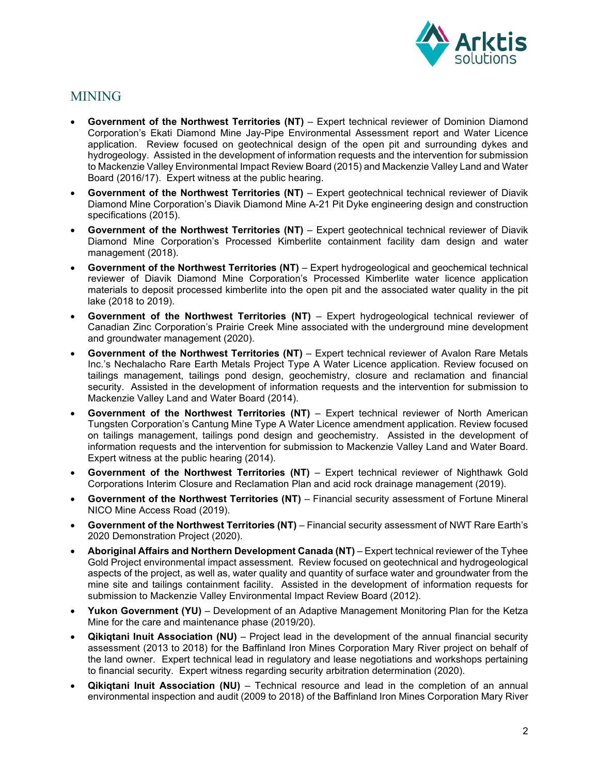

# MINING

- **Government of the Northwest Territories (NT)** Expert technical reviewer of Dominion Diamond Corporation's Ekati Diamond Mine Jay-Pipe Environmental Assessment report and Water Licence application. Review focused on geotechnical design of the open pit and surrounding dykes and hydrogeology. Assisted in the development of information requests and the intervention for submission to Mackenzie Valley Environmental Impact Review Board (2015) and Mackenzie Valley Land and Water Board (2016/17). Expert witness at the public hearing.
- **Government of the Northwest Territories (NT)** Expert geotechnical technical reviewer of Diavik Diamond Mine Corporation's Diavik Diamond Mine A-21 Pit Dyke engineering design and construction specifications (2015).
- **Government of the Northwest Territories (NT)** Expert geotechnical technical reviewer of Diavik Diamond Mine Corporation's Processed Kimberlite containment facility dam design and water management (2018).
- **Government of the Northwest Territories (NT)**  Expert hydrogeological and geochemical technical reviewer of Diavik Diamond Mine Corporation's Processed Kimberlite water licence application materials to deposit processed kimberlite into the open pit and the associated water quality in the pit lake (2018 to 2019).
- **Government of the Northwest Territories (NT)** Expert hydrogeological technical reviewer of Canadian Zinc Corporation's Prairie Creek Mine associated with the underground mine development and groundwater management (2020).
- **Government of the Northwest Territories (NT)** Expert technical reviewer of Avalon Rare Metals Inc.'s Nechalacho Rare Earth Metals Project Type A Water Licence application. Review focused on tailings management, tailings pond design, geochemistry, closure and reclamation and financial security. Assisted in the development of information requests and the intervention for submission to Mackenzie Valley Land and Water Board (2014).
- **Government of the Northwest Territories (NT)**  Expert technical reviewer of North American Tungsten Corporation's Cantung Mine Type A Water Licence amendment application. Review focused on tailings management, tailings pond design and geochemistry. Assisted in the development of information requests and the intervention for submission to Mackenzie Valley Land and Water Board. Expert witness at the public hearing (2014).
- **Government of the Northwest Territories (NT)** Expert technical reviewer of Nighthawk Gold Corporations Interim Closure and Reclamation Plan and acid rock drainage management (2019).
- **Government of the Northwest Territories (NT)**  Financial security assessment of Fortune Mineral NICO Mine Access Road (2019).
- **Government of the Northwest Territories (NT)**  Financial security assessment of NWT Rare Earth's 2020 Demonstration Project (2020).
- **Aboriginal Affairs and Northern Development Canada (NT)** Expert technical reviewer of the Tyhee Gold Project environmental impact assessment. Review focused on geotechnical and hydrogeological aspects of the project, as well as, water quality and quantity of surface water and groundwater from the mine site and tailings containment facility. Assisted in the development of information requests for submission to Mackenzie Valley Environmental Impact Review Board (2012).
- **Yukon Government (YU)** Development of an Adaptive Management Monitoring Plan for the Ketza Mine for the care and maintenance phase (2019/20).
- **Qikiqtani Inuit Association (NU)**  Project lead in the development of the annual financial security assessment (2013 to 2018) for the Baffinland Iron Mines Corporation Mary River project on behalf of the land owner. Expert technical lead in regulatory and lease negotiations and workshops pertaining to financial security. Expert witness regarding security arbitration determination (2020).
- **Qikiqtani Inuit Association (NU)**  Technical resource and lead in the completion of an annual environmental inspection and audit (2009 to 2018) of the Baffinland Iron Mines Corporation Mary River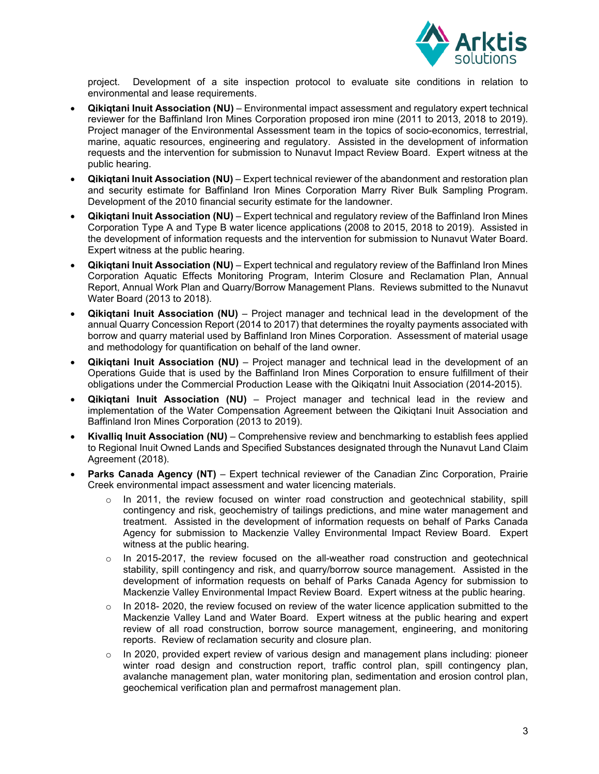

project. Development of a site inspection protocol to evaluate site conditions in relation to environmental and lease requirements.

- **Qikiqtani Inuit Association (NU)**  Environmental impact assessment and regulatory expert technical reviewer for the Baffinland Iron Mines Corporation proposed iron mine (2011 to 2013, 2018 to 2019). Project manager of the Environmental Assessment team in the topics of socio-economics, terrestrial, marine, aquatic resources, engineering and regulatory. Assisted in the development of information requests and the intervention for submission to Nunavut Impact Review Board. Expert witness at the public hearing.
- **Qikiqtani Inuit Association (NU)**  Expert technical reviewer of the abandonment and restoration plan and security estimate for Baffinland Iron Mines Corporation Marry River Bulk Sampling Program. Development of the 2010 financial security estimate for the landowner.
- **Qikiqtani Inuit Association (NU)**  Expert technical and regulatory review of the Baffinland Iron Mines Corporation Type A and Type B water licence applications (2008 to 2015, 2018 to 2019). Assisted in the development of information requests and the intervention for submission to Nunavut Water Board. Expert witness at the public hearing.
- **Qikiqtani Inuit Association (NU)**  Expert technical and regulatory review of the Baffinland Iron Mines Corporation Aquatic Effects Monitoring Program, Interim Closure and Reclamation Plan, Annual Report, Annual Work Plan and Quarry/Borrow Management Plans. Reviews submitted to the Nunavut Water Board (2013 to 2018).
- **Qikiqtani Inuit Association (NU)**  Project manager and technical lead in the development of the annual Quarry Concession Report (2014 to 2017) that determines the royalty payments associated with borrow and quarry material used by Baffinland Iron Mines Corporation. Assessment of material usage and methodology for quantification on behalf of the land owner.
- **Qikiqtani Inuit Association (NU)**  Project manager and technical lead in the development of an Operations Guide that is used by the Baffinland Iron Mines Corporation to ensure fulfillment of their obligations under the Commercial Production Lease with the Qikiqatni Inuit Association (2014-2015).
- **Qikiqtani Inuit Association (NU)**  Project manager and technical lead in the review and implementation of the Water Compensation Agreement between the Qikiqtani Inuit Association and Baffinland Iron Mines Corporation (2013 to 2019).
- **Kivalliq Inuit Association (NU)** Comprehensive review and benchmarking to establish fees applied to Regional Inuit Owned Lands and Specified Substances designated through the Nunavut Land Claim Agreement (2018).
- **Parks Canada Agency (NT)** Expert technical reviewer of the Canadian Zinc Corporation, Prairie Creek environmental impact assessment and water licencing materials.
	- $\circ$  In 2011, the review focused on winter road construction and geotechnical stability, spill contingency and risk, geochemistry of tailings predictions, and mine water management and treatment. Assisted in the development of information requests on behalf of Parks Canada Agency for submission to Mackenzie Valley Environmental Impact Review Board. Expert witness at the public hearing.
	- $\circ$  In 2015-2017, the review focused on the all-weather road construction and geotechnical stability, spill contingency and risk, and quarry/borrow source management. Assisted in the development of information requests on behalf of Parks Canada Agency for submission to Mackenzie Valley Environmental Impact Review Board. Expert witness at the public hearing.
	- $\circ$  In 2018- 2020, the review focused on review of the water licence application submitted to the Mackenzie Valley Land and Water Board. Expert witness at the public hearing and expert review of all road construction, borrow source management, engineering, and monitoring reports. Review of reclamation security and closure plan.
	- $\circ$  In 2020, provided expert review of various design and management plans including: pioneer winter road design and construction report, traffic control plan, spill contingency plan, avalanche management plan, water monitoring plan, sedimentation and erosion control plan, geochemical verification plan and permafrost management plan.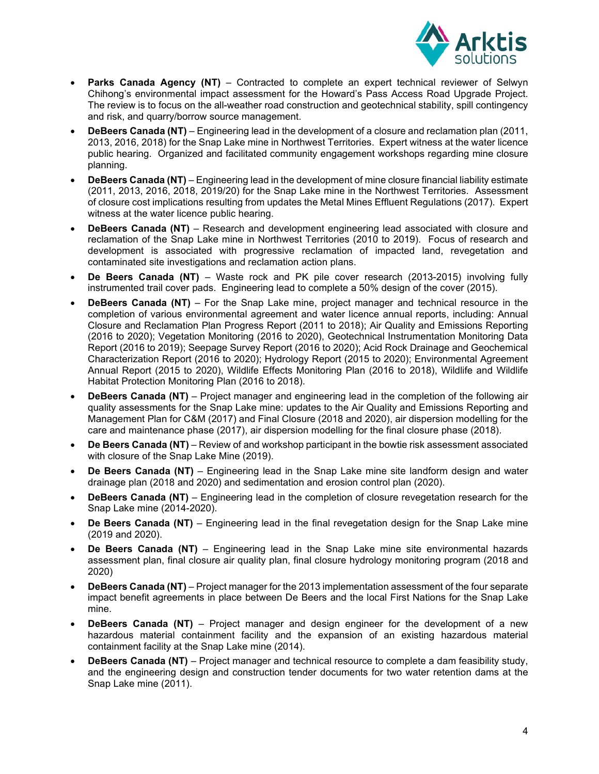

- **Parks Canada Agency (NT)** Contracted to complete an expert technical reviewer of Selwyn Chihong's environmental impact assessment for the Howard's Pass Access Road Upgrade Project. The review is to focus on the all-weather road construction and geotechnical stability, spill contingency and risk, and quarry/borrow source management.
- **DeBeers Canada (NT)**  Engineering lead in the development of a closure and reclamation plan (2011, 2013, 2016, 2018) for the Snap Lake mine in Northwest Territories. Expert witness at the water licence public hearing. Organized and facilitated community engagement workshops regarding mine closure planning.
- **DeBeers Canada (NT)**  Engineering lead in the development of mine closure financial liability estimate (2011, 2013, 2016, 2018, 2019/20) for the Snap Lake mine in the Northwest Territories. Assessment of closure cost implications resulting from updates the Metal Mines Effluent Regulations (2017). Expert witness at the water licence public hearing.
- **DeBeers Canada (NT)** Research and development engineering lead associated with closure and reclamation of the Snap Lake mine in Northwest Territories (2010 to 2019). Focus of research and development is associated with progressive reclamation of impacted land, revegetation and contaminated site investigations and reclamation action plans.
- **De Beers Canada (NT)**  Waste rock and PK pile cover research (2013-2015) involving fully instrumented trail cover pads. Engineering lead to complete a 50% design of the cover (2015).
- **DeBeers Canada (NT)** For the Snap Lake mine, project manager and technical resource in the completion of various environmental agreement and water licence annual reports, including: Annual Closure and Reclamation Plan Progress Report (2011 to 2018); Air Quality and Emissions Reporting (2016 to 2020); Vegetation Monitoring (2016 to 2020), Geotechnical Instrumentation Monitoring Data Report (2016 to 2019); Seepage Survey Report (2016 to 2020); Acid Rock Drainage and Geochemical Characterization Report (2016 to 2020); Hydrology Report (2015 to 2020); Environmental Agreement Annual Report (2015 to 2020), Wildlife Effects Monitoring Plan (2016 to 2018), Wildlife and Wildlife Habitat Protection Monitoring Plan (2016 to 2018).
- **DeBeers Canada (NT)**  Project manager and engineering lead in the completion of the following air quality assessments for the Snap Lake mine: updates to the Air Quality and Emissions Reporting and Management Plan for C&M (2017) and Final Closure (2018 and 2020), air dispersion modelling for the care and maintenance phase (2017), air dispersion modelling for the final closure phase (2018).
- **De Beers Canada (NT)**  Review of and workshop participant in the bowtie risk assessment associated with closure of the Snap Lake Mine (2019).
- **De Beers Canada (NT)**  Engineering lead in the Snap Lake mine site landform design and water drainage plan (2018 and 2020) and sedimentation and erosion control plan (2020).
- **DeBeers Canada (NT)** Engineering lead in the completion of closure revegetation research for the Snap Lake mine (2014-2020).
- **De Beers Canada (NT)** Engineering lead in the final revegetation design for the Snap Lake mine (2019 and 2020).
- **De Beers Canada (NT)**  Engineering lead in the Snap Lake mine site environmental hazards assessment plan, final closure air quality plan, final closure hydrology monitoring program (2018 and 2020)
- **DeBeers Canada (NT)**  Project manager for the 2013 implementation assessment of the four separate impact benefit agreements in place between De Beers and the local First Nations for the Snap Lake mine.
- **DeBeers Canada (NT)** Project manager and design engineer for the development of a new hazardous material containment facility and the expansion of an existing hazardous material containment facility at the Snap Lake mine (2014).
- **DeBeers Canada (NT)**  Project manager and technical resource to complete a dam feasibility study, and the engineering design and construction tender documents for two water retention dams at the Snap Lake mine (2011).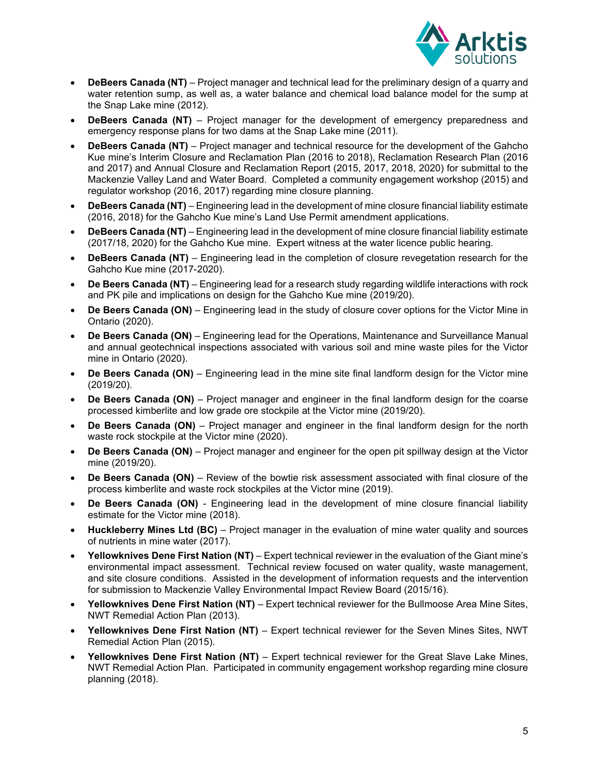

- **DeBeers Canada (NT)**  Project manager and technical lead for the preliminary design of a quarry and water retention sump, as well as, a water balance and chemical load balance model for the sump at the Snap Lake mine (2012).
- **DeBeers Canada (NT)** Project manager for the development of emergency preparedness and emergency response plans for two dams at the Snap Lake mine (2011).
- **DeBeers Canada (NT)**  Project manager and technical resource for the development of the Gahcho Kue mine's Interim Closure and Reclamation Plan (2016 to 2018), Reclamation Research Plan (2016 and 2017) and Annual Closure and Reclamation Report (2015, 2017, 2018, 2020) for submittal to the Mackenzie Valley Land and Water Board. Completed a community engagement workshop (2015) and regulator workshop (2016, 2017) regarding mine closure planning.
- **DeBeers Canada (NT)**  Engineering lead in the development of mine closure financial liability estimate (2016, 2018) for the Gahcho Kue mine's Land Use Permit amendment applications.
- **DeBeers Canada (NT)**  Engineering lead in the development of mine closure financial liability estimate (2017/18, 2020) for the Gahcho Kue mine. Expert witness at the water licence public hearing.
- **DeBeers Canada (NT)** Engineering lead in the completion of closure revegetation research for the Gahcho Kue mine (2017-2020).
- **De Beers Canada (NT)**  Engineering lead for a research study regarding wildlife interactions with rock and PK pile and implications on design for the Gahcho Kue mine (2019/20).
- **De Beers Canada (ON)**  Engineering lead in the study of closure cover options for the Victor Mine in Ontario (2020).
- **De Beers Canada (ON)**  Engineering lead for the Operations, Maintenance and Surveillance Manual and annual geotechnical inspections associated with various soil and mine waste piles for the Victor mine in Ontario (2020).
- **De Beers Canada (ON)** Engineering lead in the mine site final landform design for the Victor mine (2019/20).
- **De Beers Canada (ON)** Project manager and engineer in the final landform design for the coarse processed kimberlite and low grade ore stockpile at the Victor mine (2019/20).
- **De Beers Canada (ON)**  Project manager and engineer in the final landform design for the north waste rock stockpile at the Victor mine (2020).
- **De Beers Canada (ON)** Project manager and engineer for the open pit spillway design at the Victor mine (2019/20).
- **De Beers Canada (ON)** Review of the bowtie risk assessment associated with final closure of the process kimberlite and waste rock stockpiles at the Victor mine (2019).
- **De Beers Canada (ON)**  Engineering lead in the development of mine closure financial liability estimate for the Victor mine (2018).
- **Huckleberry Mines Ltd (BC)**  Project manager in the evaluation of mine water quality and sources of nutrients in mine water (2017).
- **Yellowknives Dene First Nation (NT)** Expert technical reviewer in the evaluation of the Giant mine's environmental impact assessment. Technical review focused on water quality, waste management, and site closure conditions. Assisted in the development of information requests and the intervention for submission to Mackenzie Valley Environmental Impact Review Board (2015/16).
- **Yellowknives Dene First Nation (NT)** Expert technical reviewer for the Bullmoose Area Mine Sites, NWT Remedial Action Plan (2013).
- **Yellowknives Dene First Nation (NT)** Expert technical reviewer for the Seven Mines Sites, NWT Remedial Action Plan (2015).
- **Yellowknives Dene First Nation (NT)** Expert technical reviewer for the Great Slave Lake Mines, NWT Remedial Action Plan. Participated in community engagement workshop regarding mine closure planning (2018).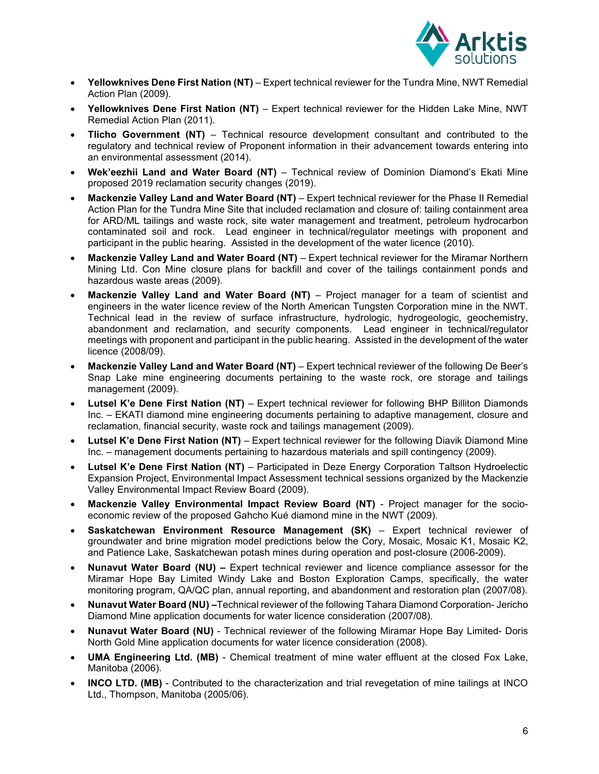

- **Yellowknives Dene First Nation (NT)** Expert technical reviewer for the Tundra Mine, NWT Remedial Action Plan (2009).
- **Yellowknives Dene First Nation (NT)** Expert technical reviewer for the Hidden Lake Mine, NWT Remedial Action Plan (2011).
- **Tlicho Government (NT)**  Technical resource development consultant and contributed to the regulatory and technical review of Proponent information in their advancement towards entering into an environmental assessment (2014).
- **Wek'eezhii Land and Water Board (NT)**  Technical review of Dominion Diamond's Ekati Mine proposed 2019 reclamation security changes (2019).
- **Mackenzie Valley Land and Water Board (NT)** Expert technical reviewer for the Phase II Remedial Action Plan for the Tundra Mine Site that included reclamation and closure of: tailing containment area for ARD/ML tailings and waste rock, site water management and treatment, petroleum hydrocarbon contaminated soil and rock. Lead engineer in technical/regulator meetings with proponent and participant in the public hearing. Assisted in the development of the water licence (2010).
- **Mackenzie Valley Land and Water Board (NT)** Expert technical reviewer for the Miramar Northern Mining Ltd. Con Mine closure plans for backfill and cover of the tailings containment ponds and hazardous waste areas (2009).
- **Mackenzie Valley Land and Water Board (NT)** Project manager for a team of scientist and engineers in the water licence review of the North American Tungsten Corporation mine in the NWT. Technical lead in the review of surface infrastructure, hydrologic, hydrogeologic, geochemistry, abandonment and reclamation, and security components. Lead engineer in technical/regulator meetings with proponent and participant in the public hearing. Assisted in the development of the water licence (2008/09).
- **Mackenzie Valley Land and Water Board (NT)**  Expert technical reviewer of the following De Beer's Snap Lake mine engineering documents pertaining to the waste rock, ore storage and tailings management (2009).
- **Lutsel K'e Dene First Nation (NT)** Expert technical reviewer for following BHP Billiton Diamonds Inc. – EKATI diamond mine engineering documents pertaining to adaptive management, closure and reclamation, financial security, waste rock and tailings management (2009).
- **Lutsel K'e Dene First Nation (NT)** Expert technical reviewer for the following Diavik Diamond Mine Inc. – management documents pertaining to hazardous materials and spill contingency (2009).
- **Lutsel K'e Dene First Nation (NT)** Participated in Deze Energy Corporation Taltson Hydroelectic Expansion Project, Environmental Impact Assessment technical sessions organized by the Mackenzie Valley Environmental Impact Review Board (2009).
- **Mackenzie Valley Environmental Impact Review Board (NT)**  Project manager for the socioeconomic review of the proposed Gahcho Kué diamond mine in the NWT (2009).
- **Saskatchewan Environment Resource Management (SK)** Expert technical reviewer of groundwater and brine migration model predictions below the Cory, Mosaic, Mosaic K1, Mosaic K2, and Patience Lake, Saskatchewan potash mines during operation and post-closure (2006-2009).
- **Nunavut Water Board (NU)** Expert technical reviewer and licence compliance assessor for the Miramar Hope Bay Limited Windy Lake and Boston Exploration Camps, specifically, the water monitoring program, QA/QC plan, annual reporting, and abandonment and restoration plan (2007/08).
- **Nunavut Water Board (NU) –**Technical reviewer of the following Tahara Diamond Corporation- Jericho Diamond Mine application documents for water licence consideration (2007/08).
- **Nunavut Water Board (NU)**  Technical reviewer of the following Miramar Hope Bay Limited- Doris North Gold Mine application documents for water licence consideration (2008).
- **UMA Engineering Ltd. (MB)**  Chemical treatment of mine water effluent at the closed Fox Lake, Manitoba (2006).
- **INCO LTD. (MB)** Contributed to the characterization and trial revegetation of mine tailings at INCO Ltd., Thompson, Manitoba (2005/06).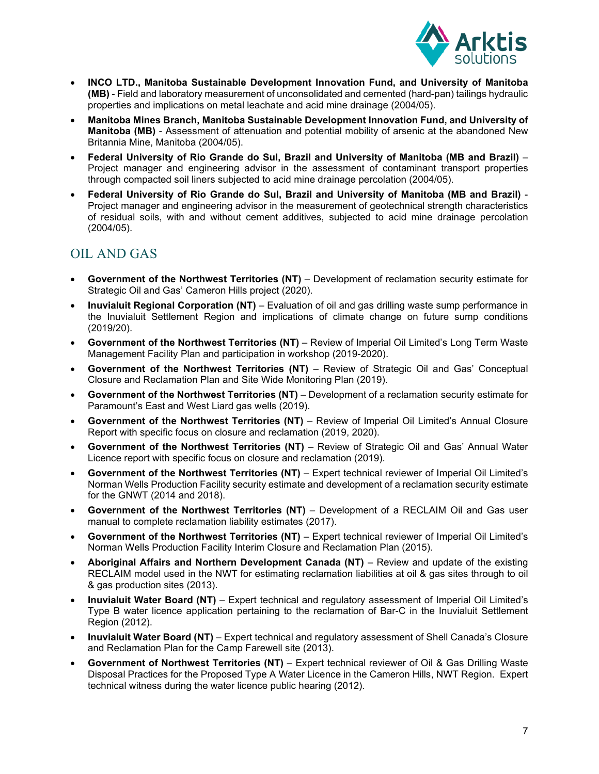

- **INCO LTD., Manitoba Sustainable Development Innovation Fund, and University of Manitoba (MB)** - Field and laboratory measurement of unconsolidated and cemented (hard-pan) tailings hydraulic properties and implications on metal leachate and acid mine drainage (2004/05).
- **Manitoba Mines Branch, Manitoba Sustainable Development Innovation Fund, and University of Manitoba (MB)** - Assessment of attenuation and potential mobility of arsenic at the abandoned New Britannia Mine, Manitoba (2004/05).
- **Federal University of Rio Grande do Sul, Brazil and University of Manitoba (MB and Brazil)** Project manager and engineering advisor in the assessment of contaminant transport properties through compacted soil liners subjected to acid mine drainage percolation (2004/05).
- **Federal University of Rio Grande do Sul, Brazil and University of Manitoba (MB and Brazil)** Project manager and engineering advisor in the measurement of geotechnical strength characteristics of residual soils, with and without cement additives, subjected to acid mine drainage percolation (2004/05).

# OIL AND GAS

- **Government of the Northwest Territories (NT)** Development of reclamation security estimate for Strategic Oil and Gas' Cameron Hills project (2020).
- **Inuvialuit Regional Corporation (NT)** Evaluation of oil and gas drilling waste sump performance in the Inuvialuit Settlement Region and implications of climate change on future sump conditions (2019/20).
- **Government of the Northwest Territories (NT)**  Review of Imperial Oil Limited's Long Term Waste Management Facility Plan and participation in workshop (2019-2020).
- **Government of the Northwest Territories (NT)**  Review of Strategic Oil and Gas' Conceptual Closure and Reclamation Plan and Site Wide Monitoring Plan (2019).
- **Government of the Northwest Territories (NT)**  Development of a reclamation security estimate for Paramount's East and West Liard gas wells (2019).
- **Government of the Northwest Territories (NT)** Review of Imperial Oil Limited's Annual Closure Report with specific focus on closure and reclamation (2019, 2020).
- **Government of the Northwest Territories (NT)** Review of Strategic Oil and Gas' Annual Water Licence report with specific focus on closure and reclamation (2019).
- **Government of the Northwest Territories (NT)**  Expert technical reviewer of Imperial Oil Limited's Norman Wells Production Facility security estimate and development of a reclamation security estimate for the GNWT (2014 and 2018).
- **Government of the Northwest Territories (NT)**  Development of a RECLAIM Oil and Gas user manual to complete reclamation liability estimates (2017).
- **Government of the Northwest Territories (NT)**  Expert technical reviewer of Imperial Oil Limited's Norman Wells Production Facility Interim Closure and Reclamation Plan (2015).
- **Aboriginal Affairs and Northern Development Canada (NT)** Review and update of the existing RECLAIM model used in the NWT for estimating reclamation liabilities at oil & gas sites through to oil & gas production sites (2013).
- **Inuvialuit Water Board (NT)** Expert technical and regulatory assessment of Imperial Oil Limited's Type B water licence application pertaining to the reclamation of Bar-C in the Inuvialuit Settlement Region (2012).
- **Inuvialuit Water Board (NT)**  Expert technical and regulatory assessment of Shell Canada's Closure and Reclamation Plan for the Camp Farewell site (2013).
- **Government of Northwest Territories (NT)** Expert technical reviewer of Oil & Gas Drilling Waste Disposal Practices for the Proposed Type A Water Licence in the Cameron Hills, NWT Region. Expert technical witness during the water licence public hearing (2012).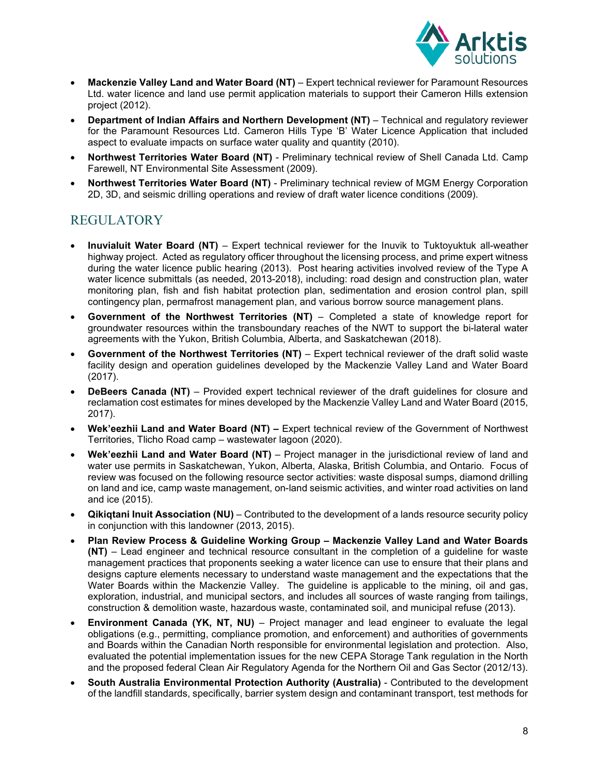

- **Mackenzie Valley Land and Water Board (NT)**  Expert technical reviewer for Paramount Resources Ltd. water licence and land use permit application materials to support their Cameron Hills extension project (2012).
- **Department of Indian Affairs and Northern Development (NT)** Technical and regulatory reviewer for the Paramount Resources Ltd. Cameron Hills Type 'B' Water Licence Application that included aspect to evaluate impacts on surface water quality and quantity (2010).
- **Northwest Territories Water Board (NT)**  Preliminary technical review of Shell Canada Ltd. Camp Farewell, NT Environmental Site Assessment (2009).
- **Northwest Territories Water Board (NT)**  Preliminary technical review of MGM Energy Corporation 2D, 3D, and seismic drilling operations and review of draft water licence conditions (2009).

# REGULATORY

- **Inuvialuit Water Board (NT)**  Expert technical reviewer for the Inuvik to Tuktoyuktuk all-weather highway project. Acted as regulatory officer throughout the licensing process, and prime expert witness during the water licence public hearing (2013). Post hearing activities involved review of the Type A water licence submittals (as needed, 2013-2018), including: road design and construction plan, water monitoring plan, fish and fish habitat protection plan, sedimentation and erosion control plan, spill contingency plan, permafrost management plan, and various borrow source management plans.
- **Government of the Northwest Territories (NT)**  Completed a state of knowledge report for groundwater resources within the transboundary reaches of the NWT to support the bi-lateral water agreements with the Yukon, British Columbia, Alberta, and Saskatchewan (2018).
- **Government of the Northwest Territories (NT)** Expert technical reviewer of the draft solid waste facility design and operation guidelines developed by the Mackenzie Valley Land and Water Board (2017).
- **DeBeers Canada (NT)** Provided expert technical reviewer of the draft guidelines for closure and reclamation cost estimates for mines developed by the Mackenzie Valley Land and Water Board (2015, 2017).
- **Wek'eezhii Land and Water Board (NT)** Expert technical review of the Government of Northwest Territories, Tlicho Road camp – wastewater lagoon (2020).
- Wek'eezhii Land and Water Board (NT) Project manager in the jurisdictional review of land and water use permits in Saskatchewan, Yukon, Alberta, Alaska, British Columbia, and Ontario. Focus of review was focused on the following resource sector activities: waste disposal sumps, diamond drilling on land and ice, camp waste management, on-land seismic activities, and winter road activities on land and ice (2015).
- **Qikiqtani Inuit Association (NU)** Contributed to the development of a lands resource security policy in conjunction with this landowner (2013, 2015).
- **Plan Review Process & Guideline Working Group Mackenzie Valley Land and Water Boards (NT)** – Lead engineer and technical resource consultant in the completion of a guideline for waste management practices that proponents seeking a water licence can use to ensure that their plans and designs capture elements necessary to understand waste management and the expectations that the Water Boards within the Mackenzie Valley. The guideline is applicable to the mining, oil and gas, exploration, industrial, and municipal sectors, and includes all sources of waste ranging from tailings, construction & demolition waste, hazardous waste, contaminated soil, and municipal refuse (2013).
- **Environment Canada (YK, NT, NU)** Project manager and lead engineer to evaluate the legal obligations (e.g., permitting, compliance promotion, and enforcement) and authorities of governments and Boards within the Canadian North responsible for environmental legislation and protection. Also, evaluated the potential implementation issues for the new CEPA Storage Tank regulation in the North and the proposed federal Clean Air Regulatory Agenda for the Northern Oil and Gas Sector (2012/13).
- **South Australia Environmental Protection Authority (Australia)**  Contributed to the development of the landfill standards, specifically, barrier system design and contaminant transport, test methods for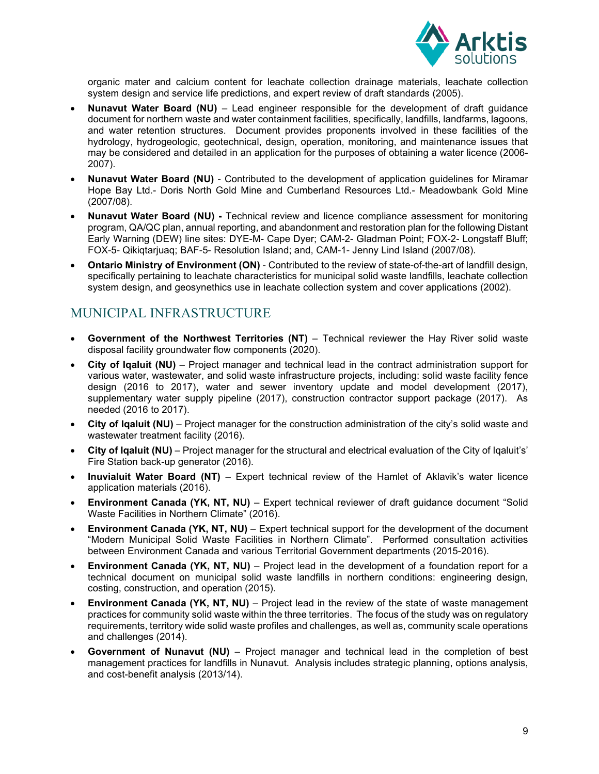

organic mater and calcium content for leachate collection drainage materials, leachate collection system design and service life predictions, and expert review of draft standards (2005).

- **Nunavut Water Board (NU)**  Lead engineer responsible for the development of draft guidance document for northern waste and water containment facilities, specifically, landfills, landfarms, lagoons, and water retention structures. Document provides proponents involved in these facilities of the hydrology, hydrogeologic, geotechnical, design, operation, monitoring, and maintenance issues that may be considered and detailed in an application for the purposes of obtaining a water licence (2006- 2007).
- **Nunavut Water Board (NU)**  Contributed to the development of application guidelines for Miramar Hope Bay Ltd.- Doris North Gold Mine and Cumberland Resources Ltd.- Meadowbank Gold Mine (2007/08).
- **Nunavut Water Board (NU)** Technical review and licence compliance assessment for monitoring program, QA/QC plan, annual reporting, and abandonment and restoration plan for the following Distant Early Warning (DEW) line sites: DYE-M- Cape Dyer; CAM-2- Gladman Point; FOX-2- Longstaff Bluff; FOX-5- Qikiqtarjuaq; BAF-5- Resolution Island; and, CAM-1- Jenny Lind Island (2007/08).
- **Ontario Ministry of Environment (ON)**  Contributed to the review of state-of-the-art of landfill design, specifically pertaining to leachate characteristics for municipal solid waste landfills, leachate collection system design, and geosynethics use in leachate collection system and cover applications (2002).

# MUNICIPAL INFRASTRUCTURE

- **Government of the Northwest Territories (NT)**  Technical reviewer the Hay River solid waste disposal facility groundwater flow components (2020).
- **City of Iqaluit (NU)** Project manager and technical lead in the contract administration support for various water, wastewater, and solid waste infrastructure projects, including: solid waste facility fence design (2016 to 2017), water and sewer inventory update and model development (2017), supplementary water supply pipeline (2017), construction contractor support package (2017). As needed (2016 to 2017).
- **City of Iqaluit (NU)** Project manager for the construction administration of the city's solid waste and wastewater treatment facility (2016).
- **City of Iqaluit (NU)** Project manager for the structural and electrical evaluation of the City of Iqaluit's' Fire Station back-up generator (2016).
- **Inuvialuit Water Board (NT)** Expert technical review of the Hamlet of Aklavik's water licence application materials (2016).
- **Environment Canada (YK, NT, NU)** Expert technical reviewer of draft guidance document "Solid Waste Facilities in Northern Climate" (2016).
- **Environment Canada (YK, NT, NU)** Expert technical support for the development of the document "Modern Municipal Solid Waste Facilities in Northern Climate". Performed consultation activities between Environment Canada and various Territorial Government departments (2015-2016).
- **Environment Canada (YK, NT, NU)** Project lead in the development of a foundation report for a technical document on municipal solid waste landfills in northern conditions: engineering design, costing, construction, and operation (2015).
- **Environment Canada (YK, NT, NU)** Project lead in the review of the state of waste management practices for community solid waste within the three territories. The focus of the study was on regulatory requirements, territory wide solid waste profiles and challenges, as well as, community scale operations and challenges (2014).
- **Government of Nunavut (NU)** Project manager and technical lead in the completion of best management practices for landfills in Nunavut. Analysis includes strategic planning, options analysis, and cost-benefit analysis (2013/14).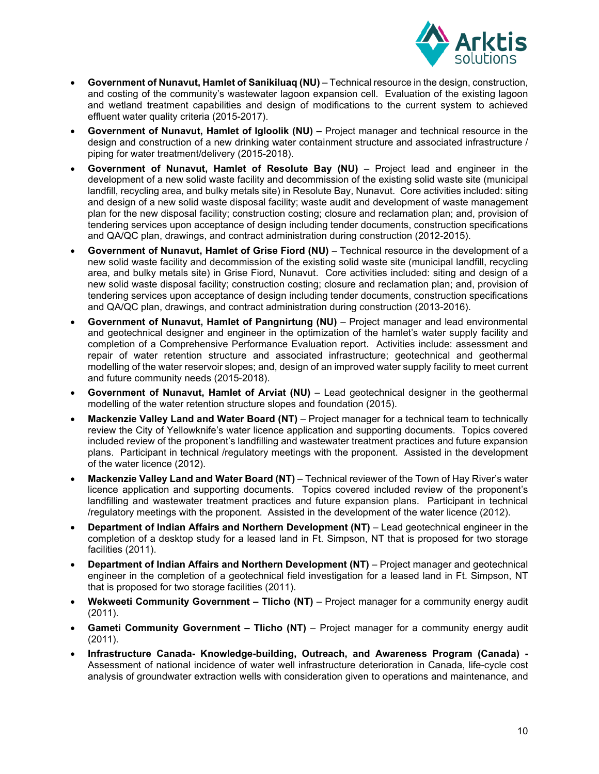

- **Government of Nunavut, Hamlet of Sanikiluaq (NU)** Technical resource in the design, construction, and costing of the community's wastewater lagoon expansion cell. Evaluation of the existing lagoon and wetland treatment capabilities and design of modifications to the current system to achieved effluent water quality criteria (2015-2017).
- **Government of Nunavut, Hamlet of Igloolik (NU)** Project manager and technical resource in the design and construction of a new drinking water containment structure and associated infrastructure / piping for water treatment/delivery (2015-2018).
- **Government of Nunavut, Hamlet of Resolute Bay (NU)** Project lead and engineer in the development of a new solid waste facility and decommission of the existing solid waste site (municipal landfill, recycling area, and bulky metals site) in Resolute Bay, Nunavut. Core activities included: siting and design of a new solid waste disposal facility; waste audit and development of waste management plan for the new disposal facility; construction costing; closure and reclamation plan; and, provision of tendering services upon acceptance of design including tender documents, construction specifications and QA/QC plan, drawings, and contract administration during construction (2012-2015).
- **Government of Nunavut, Hamlet of Grise Fiord (NU)** Technical resource in the development of a new solid waste facility and decommission of the existing solid waste site (municipal landfill, recycling area, and bulky metals site) in Grise Fiord, Nunavut. Core activities included: siting and design of a new solid waste disposal facility; construction costing; closure and reclamation plan; and, provision of tendering services upon acceptance of design including tender documents, construction specifications and QA/QC plan, drawings, and contract administration during construction (2013-2016).
- **Government of Nunavut, Hamlet of Pangnirtung (NU)** Project manager and lead environmental and geotechnical designer and engineer in the optimization of the hamlet's water supply facility and completion of a Comprehensive Performance Evaluation report. Activities include: assessment and repair of water retention structure and associated infrastructure; geotechnical and geothermal modelling of the water reservoir slopes; and, design of an improved water supply facility to meet current and future community needs (2015-2018).
- **Government of Nunavut, Hamlet of Arviat (NU)** Lead geotechnical designer in the geothermal modelling of the water retention structure slopes and foundation (2015).
- **Mackenzie Valley Land and Water Board (NT)** Project manager for a technical team to technically review the City of Yellowknife's water licence application and supporting documents. Topics covered included review of the proponent's landfilling and wastewater treatment practices and future expansion plans. Participant in technical /regulatory meetings with the proponent. Assisted in the development of the water licence (2012).
- **Mackenzie Valley Land and Water Board (NT)** Technical reviewer of the Town of Hay River's water licence application and supporting documents. Topics covered included review of the proponent's landfilling and wastewater treatment practices and future expansion plans. Participant in technical /regulatory meetings with the proponent. Assisted in the development of the water licence (2012).
- **Department of Indian Affairs and Northern Development (NT)** Lead geotechnical engineer in the completion of a desktop study for a leased land in Ft. Simpson, NT that is proposed for two storage facilities (2011).
- **Department of Indian Affairs and Northern Development (NT)** Project manager and geotechnical engineer in the completion of a geotechnical field investigation for a leased land in Ft. Simpson, NT that is proposed for two storage facilities (2011).
- Wekweeti Community Government Tlicho (NT) Project manager for a community energy audit (2011).
- **Gameti Community Government Tlicho (NT)** Project manager for a community energy audit (2011).
- **Infrastructure Canada- Knowledge-building, Outreach, and Awareness Program (Canada)**  Assessment of national incidence of water well infrastructure deterioration in Canada, life-cycle cost analysis of groundwater extraction wells with consideration given to operations and maintenance, and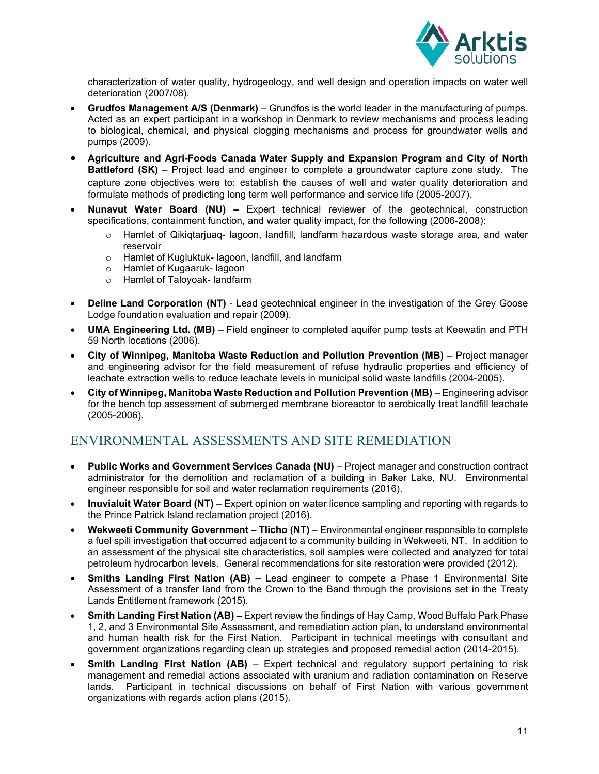

characterization of water quality, hydrogeology, and well design and operation impacts on water well deterioration (2007/08).

- **Grudfos Management A/S (Denmark)** Grundfos is the world leader in the manufacturing of pumps. Acted as an expert participant in a workshop in Denmark to review mechanisms and process leading to biological, chemical, and physical clogging mechanisms and process for groundwater wells and pumps (2009).
- **Agriculture and Agri-Foods Canada Water Supply and Expansion Program and City of North Battleford (SK)** – Project lead and engineer to complete a groundwater capture zone study. The capture zone objectives were to: establish the causes of well and water quality deterioration and formulate methods of predicting long term well performance and service life (2005-2007).
- **Nunavut Water Board (NU) –** Expert technical reviewer of the geotechnical, construction specifications, containment function, and water quality impact, for the following (2006-2008):
	- Hamlet of Qikigtariuag- lagoon, landfill, landfarm hazardous waste storage area, and water reservoir
	- o Hamlet of Kugluktuk- lagoon, landfill, and landfarm
	- o Hamlet of Kugaaruk- lagoon
	- o Hamlet of Taloyoak- landfarm
- **Deline Land Corporation (NT)**  Lead geotechnical engineer in the investigation of the Grey Goose Lodge foundation evaluation and repair (2009).
- **UMA Engineering Ltd. (MB)**  Field engineer to completed aquifer pump tests at Keewatin and PTH 59 North locations (2006).
- **City of Winnipeg, Manitoba Waste Reduction and Pollution Prevention (MB)**  Project manager and engineering advisor for the field measurement of refuse hydraulic properties and efficiency of leachate extraction wells to reduce leachate levels in municipal solid waste landfills (2004-2005).
- **City of Winnipeg, Manitoba Waste Reduction and Pollution Prevention (MB)** Engineering advisor for the bench top assessment of submerged membrane bioreactor to aerobically treat landfill leachate (2005-2006).

# ENVIRONMENTAL ASSESSMENTS AND SITE REMEDIATION

- **Public Works and Government Services Canada (NU)** Project manager and construction contract administrator for the demolition and reclamation of a building in Baker Lake, NU. Environmental engineer responsible for soil and water reclamation requirements (2016).
- **Inuvialuit Water Board (NT)** Expert opinion on water licence sampling and reporting with regards to the Prince Patrick Island reclamation project (2016).
- Wekweeti Community Government Tlicho (NT) Environmental engineer responsible to complete a fuel spill investigation that occurred adjacent to a community building in Wekweeti, NT. In addition to an assessment of the physical site characteristics, soil samples were collected and analyzed for total petroleum hydrocarbon levels. General recommendations for site restoration were provided (2012).
- **Smiths Landing First Nation (AB)** Lead engineer to compete a Phase 1 Environmental Site Assessment of a transfer land from the Crown to the Band through the provisions set in the Treaty Lands Entitlement framework (2015).
- **Smith Landing First Nation (AB) –** Expert review the findings of Hay Camp, Wood Buffalo Park Phase 1, 2, and 3 Environmental Site Assessment, and remediation action plan, to understand environmental and human health risk for the First Nation. Participant in technical meetings with consultant and government organizations regarding clean up strategies and proposed remedial action (2014-2015).
- **Smith Landing First Nation (AB)** Expert technical and regulatory support pertaining to risk management and remedial actions associated with uranium and radiation contamination on Reserve lands. Participant in technical discussions on behalf of First Nation with various government organizations with regards action plans (2015).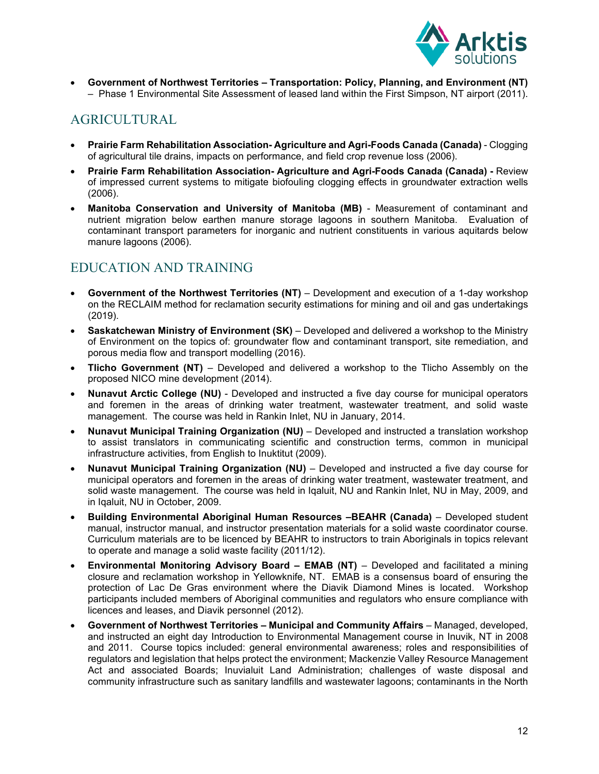

 **Government of Northwest Territories – Transportation: Policy, Planning, and Environment (NT)** – Phase 1 Environmental Site Assessment of leased land within the First Simpson, NT airport (2011).

# AGRICULTURAL

- **Prairie Farm Rehabilitation Association- Agriculture and Agri-Foods Canada (Canada)**  Clogging of agricultural tile drains, impacts on performance, and field crop revenue loss (2006).
- **Prairie Farm Rehabilitation Association- Agriculture and Agri-Foods Canada (Canada)** Review of impressed current systems to mitigate biofouling clogging effects in groundwater extraction wells (2006).
- **Manitoba Conservation and University of Manitoba (MB)**  Measurement of contaminant and nutrient migration below earthen manure storage lagoons in southern Manitoba. Evaluation of contaminant transport parameters for inorganic and nutrient constituents in various aquitards below manure lagoons (2006).

# EDUCATION AND TRAINING

- **Government of the Northwest Territories (NT)**  Development and execution of a 1-day workshop on the RECLAIM method for reclamation security estimations for mining and oil and gas undertakings (2019).
- **Saskatchewan Ministry of Environment (SK)**  Developed and delivered a workshop to the Ministry of Environment on the topics of: groundwater flow and contaminant transport, site remediation, and porous media flow and transport modelling (2016).
- **Tlicho Government (NT)**  Developed and delivered a workshop to the Tlicho Assembly on the proposed NICO mine development (2014).
- **Nunavut Arctic College (NU)** Developed and instructed a five day course for municipal operators and foremen in the areas of drinking water treatment, wastewater treatment, and solid waste management. The course was held in Rankin Inlet, NU in January, 2014.
- **Nunavut Municipal Training Organization (NU)** Developed and instructed a translation workshop to assist translators in communicating scientific and construction terms, common in municipal infrastructure activities, from English to Inuktitut (2009).
- **Nunavut Municipal Training Organization (NU)** Developed and instructed a five day course for municipal operators and foremen in the areas of drinking water treatment, wastewater treatment, and solid waste management. The course was held in Iqaluit, NU and Rankin Inlet, NU in May, 2009, and in Iqaluit, NU in October, 2009.
- **Building Environmental Aboriginal Human Resources –BEAHR (Canada)** Developed student manual, instructor manual, and instructor presentation materials for a solid waste coordinator course. Curriculum materials are to be licenced by BEAHR to instructors to train Aboriginals in topics relevant to operate and manage a solid waste facility (2011/12).
- **Environmental Monitoring Advisory Board EMAB (NT)** Developed and facilitated a mining closure and reclamation workshop in Yellowknife, NT. EMAB is a consensus board of ensuring the protection of Lac De Gras environment where the Diavik Diamond Mines is located. Workshop participants included members of Aboriginal communities and regulators who ensure compliance with licences and leases, and Diavik personnel (2012).
- **Government of Northwest Territories Municipal and Community Affairs** Managed, developed, and instructed an eight day Introduction to Environmental Management course in Inuvik, NT in 2008 and 2011. Course topics included: general environmental awareness; roles and responsibilities of regulators and legislation that helps protect the environment; Mackenzie Valley Resource Management Act and associated Boards; Inuvialuit Land Administration; challenges of waste disposal and community infrastructure such as sanitary landfills and wastewater lagoons; contaminants in the North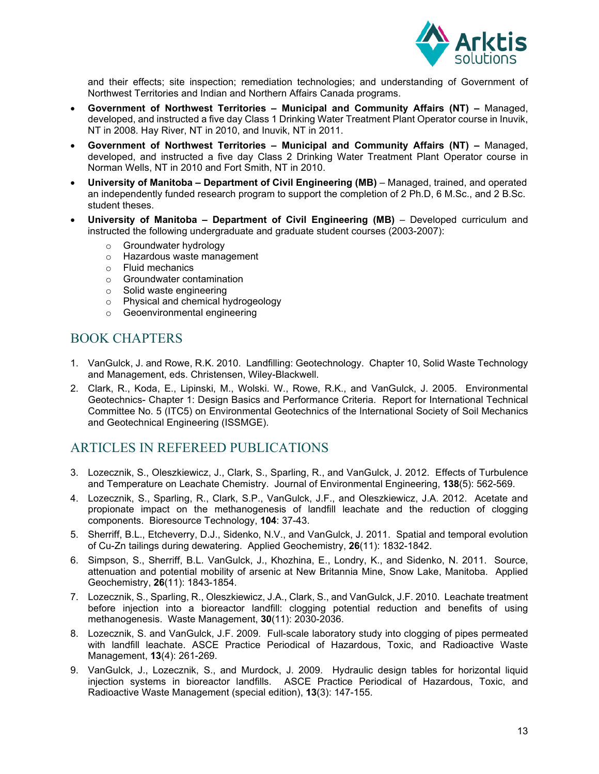

and their effects; site inspection; remediation technologies; and understanding of Government of Northwest Territories and Indian and Northern Affairs Canada programs.

- **Government of Northwest Territories Municipal and Community Affairs (NT) –** Managed, developed, and instructed a five day Class 1 Drinking Water Treatment Plant Operator course in Inuvik, NT in 2008. Hay River, NT in 2010, and Inuvik, NT in 2011.
- **Government of Northwest Territories Municipal and Community Affairs (NT) –** Managed, developed, and instructed a five day Class 2 Drinking Water Treatment Plant Operator course in Norman Wells, NT in 2010 and Fort Smith, NT in 2010.
- **University of Manitoba Department of Civil Engineering (MB)** Managed, trained, and operated an independently funded research program to support the completion of 2 Ph.D, 6 M.Sc., and 2 B.Sc. student theses.
- **University of Manitoba Department of Civil Engineering (MB)** Developed curriculum and instructed the following undergraduate and graduate student courses (2003-2007):
	- o Groundwater hydrology
	- o Hazardous waste management
	- o Fluid mechanics
	- o Groundwater contamination
	- o Solid waste engineering
	- o Physical and chemical hydrogeology
	- o Geoenvironmental engineering

## BOOK CHAPTERS

- 1. VanGulck, J. and Rowe, R.K. 2010. Landfilling: Geotechnology. Chapter 10, Solid Waste Technology and Management, eds. Christensen, Wiley-Blackwell.
- 2. Clark, R., Koda, E., Lipinski, M., Wolski. W., Rowe, R.K., and VanGulck, J. 2005. Environmental Geotechnics- Chapter 1: Design Basics and Performance Criteria. Report for International Technical Committee No. 5 (ITC5) on Environmental Geotechnics of the International Society of Soil Mechanics and Geotechnical Engineering (ISSMGE).

# ARTICLES IN REFEREED PUBLICATIONS

- 3. Lozecznik, S., Oleszkiewicz, J., Clark, S., Sparling, R., and VanGulck, J. 2012. Effects of Turbulence and Temperature on Leachate Chemistry. Journal of Environmental Engineering, **138**(5): 562-569.
- 4. Lozecznik, S., Sparling, R., Clark, S.P., VanGulck, J.F., and Oleszkiewicz, J.A. 2012. Acetate and propionate impact on the methanogenesis of landfill leachate and the reduction of clogging components. Bioresource Technology, **104**: 37-43.
- 5. Sherriff, B.L., Etcheverry, D.J., Sidenko, N.V., and VanGulck, J. 2011. Spatial and temporal evolution of Cu-Zn tailings during dewatering. Applied Geochemistry, **26**(11): 1832-1842.
- 6. Simpson, S., Sherriff, B.L. VanGulck, J., Khozhina, E., Londry, K., and Sidenko, N. 2011. Source, attenuation and potential mobility of arsenic at New Britannia Mine, Snow Lake, Manitoba. Applied Geochemistry, **26**(11): 1843-1854.
- 7. Lozecznik, S., Sparling, R., Oleszkiewicz, J.A., Clark, S., and VanGulck, J.F. 2010. Leachate treatment before injection into a bioreactor landfill: clogging potential reduction and benefits of using methanogenesis. Waste Management, **30**(11): 2030-2036.
- 8. Lozecznik, S. and VanGulck, J.F. 2009. Full-scale laboratory study into clogging of pipes permeated with landfill leachate. ASCE Practice Periodical of Hazardous, Toxic, and Radioactive Waste Management, **13**(4): 261-269.
- 9. VanGulck, J., Lozecznik, S., and Murdock, J. 2009. Hydraulic design tables for horizontal liquid injection systems in bioreactor landfills. ASCE Practice Periodical of Hazardous, Toxic, and Radioactive Waste Management (special edition), **13**(3): 147-155.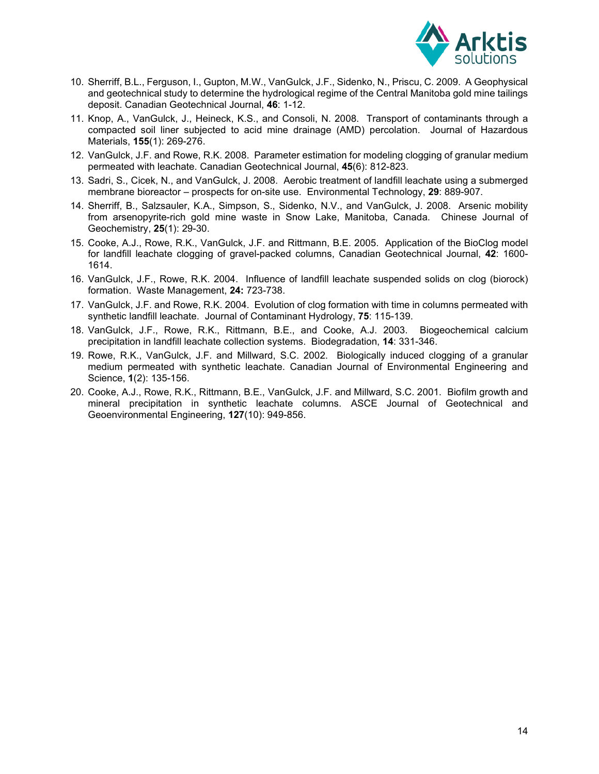

- 10. Sherriff, B.L., Ferguson, I., Gupton, M.W., VanGulck, J.F., Sidenko, N., Priscu, C. 2009. A Geophysical and geotechnical study to determine the hydrological regime of the Central Manitoba gold mine tailings deposit. Canadian Geotechnical Journal, **46**: 1-12.
- 11. Knop, A., VanGulck, J., Heineck, K.S., and Consoli, N. 2008. Transport of contaminants through a compacted soil liner subjected to acid mine drainage (AMD) percolation. Journal of Hazardous Materials, **155**(1): 269-276.
- 12. VanGulck, J.F. and Rowe, R.K. 2008. Parameter estimation for modeling clogging of granular medium permeated with leachate. Canadian Geotechnical Journal, **45**(6): 812-823.
- 13. Sadri, S., Cicek, N., and VanGulck, J. 2008. Aerobic treatment of landfill leachate using a submerged membrane bioreactor – prospects for on-site use. Environmental Technology, **29**: 889-907.
- 14. Sherriff, B., Salzsauler, K.A., Simpson, S., Sidenko, N.V., and VanGulck, J. 2008. Arsenic mobility from arsenopyrite-rich gold mine waste in Snow Lake, Manitoba, Canada. Chinese Journal of Geochemistry, **25**(1): 29-30.
- 15. Cooke, A.J., Rowe, R.K., VanGulck, J.F. and Rittmann, B.E. 2005. Application of the BioClog model for landfill leachate clogging of gravel-packed columns, Canadian Geotechnical Journal, **42**: 1600- 1614.
- 16. VanGulck, J.F., Rowe, R.K. 2004. Influence of landfill leachate suspended solids on clog (biorock) formation. Waste Management, **24:** 723-738.
- 17. VanGulck, J.F. and Rowe, R.K. 2004. Evolution of clog formation with time in columns permeated with synthetic landfill leachate. Journal of Contaminant Hydrology, **75**: 115-139.
- 18. VanGulck, J.F., Rowe, R.K., Rittmann, B.E., and Cooke, A.J. 2003. Biogeochemical calcium precipitation in landfill leachate collection systems. Biodegradation, **14**: 331-346.
- 19. Rowe, R.K., VanGulck, J.F. and Millward, S.C. 2002. Biologically induced clogging of a granular medium permeated with synthetic leachate. Canadian Journal of Environmental Engineering and Science, **1**(2): 135-156.
- 20. Cooke, A.J., Rowe, R.K., Rittmann, B.E., VanGulck, J.F. and Millward, S.C. 2001. Biofilm growth and mineral precipitation in synthetic leachate columns. ASCE Journal of Geotechnical and Geoenvironmental Engineering, **127**(10): 949-856.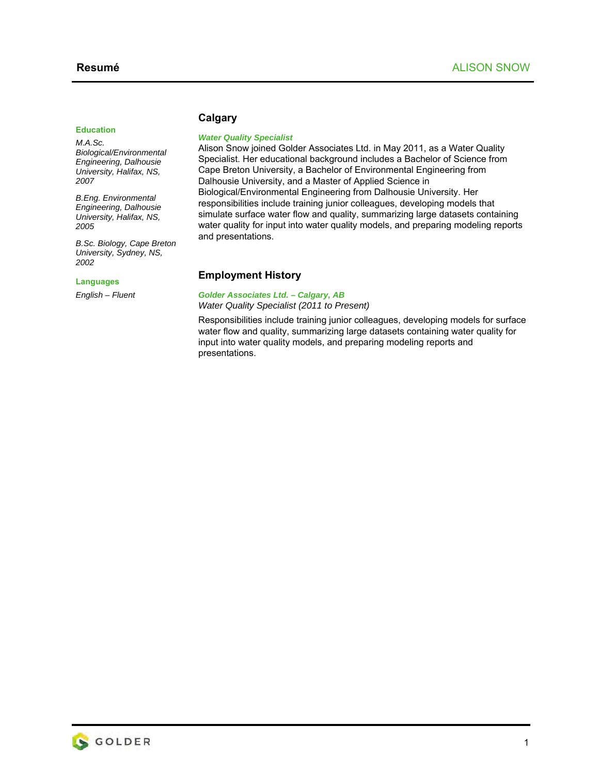#### **Education**

*M.A.Sc. Biological/Environmental Engineering, Dalhousie University, Halifax, NS, 2007* 

*B.Eng. Environmental Engineering, Dalhousie University, Halifax, NS, 2005* 

*B.Sc. Biology, Cape Breton University, Sydney, NS, 2002* 

#### **Languages**

*English – Fluent* 

## **Calgary**

#### *Water Quality Specialist*

Alison Snow joined Golder Associates Ltd. in May 2011, as a Water Quality Specialist. Her educational background includes a Bachelor of Science from Cape Breton University, a Bachelor of Environmental Engineering from Dalhousie University, and a Master of Applied Science in Biological/Environmental Engineering from Dalhousie University. Her responsibilities include training junior colleagues, developing models that simulate surface water flow and quality, summarizing large datasets containing water quality for input into water quality models, and preparing modeling reports and presentations.

### **Employment History**

#### *Golder Associates Ltd. – Calgary, AB*

*Water Quality Specialist (2011 to Present)* 

Responsibilities include training junior colleagues, developing models for surface water flow and quality, summarizing large datasets containing water quality for input into water quality models, and preparing modeling reports and presentations.

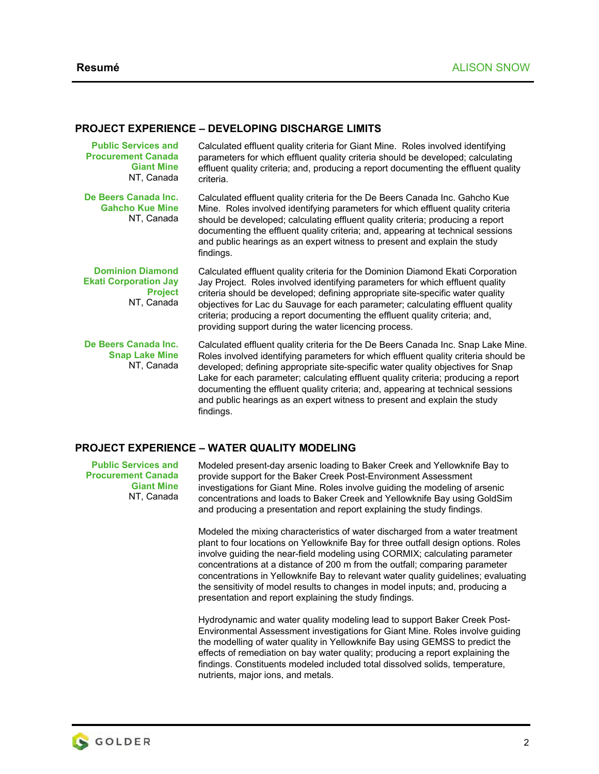## **PROJECT EXPERIENCE – DEVELOPING DISCHARGE LIMITS**

| <b>Public Services and</b><br><b>Procurement Canada</b><br><b>Giant Mine</b><br>NT, Canada | Calculated effluent quality criteria for Giant Mine. Roles involved identifying<br>parameters for which effluent quality criteria should be developed; calculating<br>effluent quality criteria; and, producing a report documenting the effluent quality<br>criteria.                                                                                                                                                                                                                                                         |
|--------------------------------------------------------------------------------------------|--------------------------------------------------------------------------------------------------------------------------------------------------------------------------------------------------------------------------------------------------------------------------------------------------------------------------------------------------------------------------------------------------------------------------------------------------------------------------------------------------------------------------------|
| De Beers Canada Inc.<br><b>Gahcho Kue Mine</b><br>NT, Canada                               | Calculated effluent quality criteria for the De Beers Canada Inc. Gahcho Kue<br>Mine. Roles involved identifying parameters for which effluent quality criteria<br>should be developed; calculating effluent quality criteria; producing a report<br>documenting the effluent quality criteria; and, appearing at technical sessions<br>and public hearings as an expert witness to present and explain the study<br>findings.                                                                                                 |
| <b>Dominion Diamond</b><br><b>Ekati Corporation Jay</b><br><b>Project</b><br>NT, Canada    | Calculated effluent quality criteria for the Dominion Diamond Ekati Corporation<br>Jay Project. Roles involved identifying parameters for which effluent quality<br>criteria should be developed; defining appropriate site-specific water quality<br>objectives for Lac du Sauvage for each parameter; calculating effluent quality<br>criteria; producing a report documenting the effluent quality criteria; and,<br>providing support during the water licencing process.                                                  |
| De Beers Canada Inc.<br><b>Snap Lake Mine</b><br>NT, Canada                                | Calculated effluent quality criteria for the De Beers Canada Inc. Snap Lake Mine.<br>Roles involved identifying parameters for which effluent quality criteria should be<br>developed; defining appropriate site-specific water quality objectives for Snap<br>Lake for each parameter; calculating effluent quality criteria; producing a report<br>documenting the effluent quality criteria; and, appearing at technical sessions<br>and public hearings as an expert witness to present and explain the study<br>findings. |

### **PROJECT EXPERIENCE – WATER QUALITY MODELING**

**Public Services and Procurement Canada Giant Mine**  NT, Canada Modeled present-day arsenic loading to Baker Creek and Yellowknife Bay to provide support for the Baker Creek Post-Environment Assessment investigations for Giant Mine. Roles involve guiding the modeling of arsenic concentrations and loads to Baker Creek and Yellowknife Bay using GoldSim and producing a presentation and report explaining the study findings.

Modeled the mixing characteristics of water discharged from a water treatment plant to four locations on Yellowknife Bay for three outfall design options. Roles involve guiding the near-field modeling using CORMIX; calculating parameter concentrations at a distance of 200 m from the outfall; comparing parameter concentrations in Yellowknife Bay to relevant water quality guidelines; evaluating the sensitivity of model results to changes in model inputs; and, producing a presentation and report explaining the study findings.

Hydrodynamic and water quality modeling lead to support Baker Creek Post-Environmental Assessment investigations for Giant Mine. Roles involve guiding the modelling of water quality in Yellowknife Bay using GEMSS to predict the effects of remediation on bay water quality; producing a report explaining the findings. Constituents modeled included total dissolved solids, temperature, nutrients, major ions, and metals.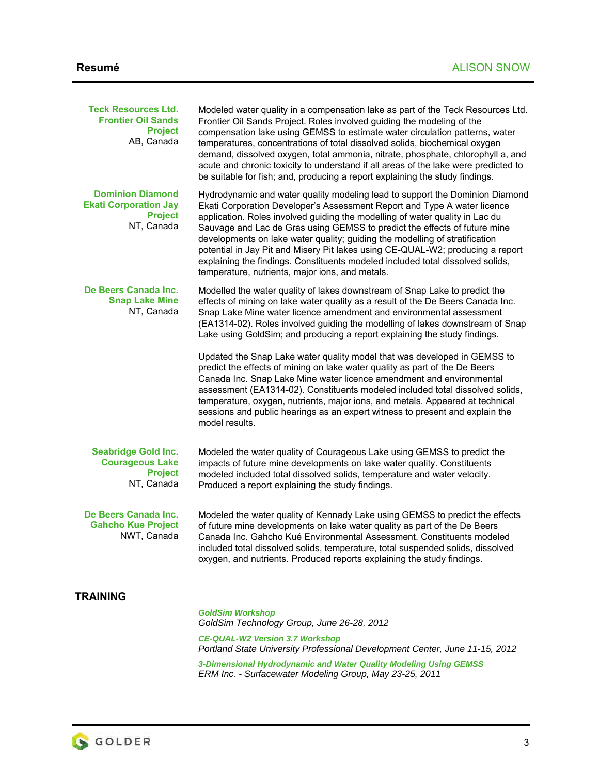| <b>Teck Resources Ltd.</b><br><b>Frontier Oil Sands</b><br><b>Project</b><br>AB, Canada | Modeled water quality in a compensation lake as part of the Teck Resources Ltd.<br>Frontier Oil Sands Project. Roles involved guiding the modeling of the<br>compensation lake using GEMSS to estimate water circulation patterns, water<br>temperatures, concentrations of total dissolved solids, biochemical oxygen<br>demand, dissolved oxygen, total ammonia, nitrate, phosphate, chlorophyll a, and<br>acute and chronic toxicity to understand if all areas of the lake were predicted to<br>be suitable for fish; and, producing a report explaining the study findings.                                            |
|-----------------------------------------------------------------------------------------|-----------------------------------------------------------------------------------------------------------------------------------------------------------------------------------------------------------------------------------------------------------------------------------------------------------------------------------------------------------------------------------------------------------------------------------------------------------------------------------------------------------------------------------------------------------------------------------------------------------------------------|
| <b>Dominion Diamond</b><br><b>Ekati Corporation Jay</b><br><b>Project</b><br>NT, Canada | Hydrodynamic and water quality modeling lead to support the Dominion Diamond<br>Ekati Corporation Developer's Assessment Report and Type A water licence<br>application. Roles involved guiding the modelling of water quality in Lac du<br>Sauvage and Lac de Gras using GEMSS to predict the effects of future mine<br>developments on lake water quality; guiding the modelling of stratification<br>potential in Jay Pit and Misery Pit lakes using CE-QUAL-W2; producing a report<br>explaining the findings. Constituents modeled included total dissolved solids,<br>temperature, nutrients, major ions, and metals. |
| De Beers Canada Inc.<br><b>Snap Lake Mine</b><br>NT, Canada                             | Modelled the water quality of lakes downstream of Snap Lake to predict the<br>effects of mining on lake water quality as a result of the De Beers Canada Inc.<br>Snap Lake Mine water licence amendment and environmental assessment<br>(EA1314-02). Roles involved guiding the modelling of lakes downstream of Snap<br>Lake using GoldSim; and producing a report explaining the study findings.                                                                                                                                                                                                                          |
|                                                                                         | Updated the Snap Lake water quality model that was developed in GEMSS to<br>predict the effects of mining on lake water quality as part of the De Beers<br>Canada Inc. Snap Lake Mine water licence amendment and environmental<br>assessment (EA1314-02). Constituents modeled included total dissolved solids,<br>temperature, oxygen, nutrients, major ions, and metals. Appeared at technical<br>sessions and public hearings as an expert witness to present and explain the<br>model results.                                                                                                                         |
| <b>Seabridge Gold Inc.</b><br><b>Courageous Lake</b><br><b>Project</b><br>NT, Canada    | Modeled the water quality of Courageous Lake using GEMSS to predict the<br>impacts of future mine developments on lake water quality. Constituents<br>modeled included total dissolved solids, temperature and water velocity.<br>Produced a report explaining the study findings.                                                                                                                                                                                                                                                                                                                                          |
| De Beers Canada Inc.<br><b>Gahcho Kue Project</b><br>NWT, Canada                        | Modeled the water quality of Kennady Lake using GEMSS to predict the effects<br>of future mine developments on lake water quality as part of the De Beers<br>Canada Inc. Gahcho Kué Environmental Assessment. Constituents modeled<br>included total dissolved solids, temperature, total suspended solids, dissolved<br>oxygen, and nutrients. Produced reports explaining the study findings.                                                                                                                                                                                                                             |
| TRAINING                                                                                |                                                                                                                                                                                                                                                                                                                                                                                                                                                                                                                                                                                                                             |
|                                                                                         | <b>GoldSim Workshop</b><br>GoldSim Technology Group, June 26-28, 2012                                                                                                                                                                                                                                                                                                                                                                                                                                                                                                                                                       |

*CE-QUAL-W2 Version 3.7 Workshop Portland State University Professional Development Center, June 11-15, 2012* 

*3-Dimensional Hydrodynamic and Water Quality Modeling Using GEMSS ERM Inc. - Surfacewater Modeling Group, May 23-25, 2011*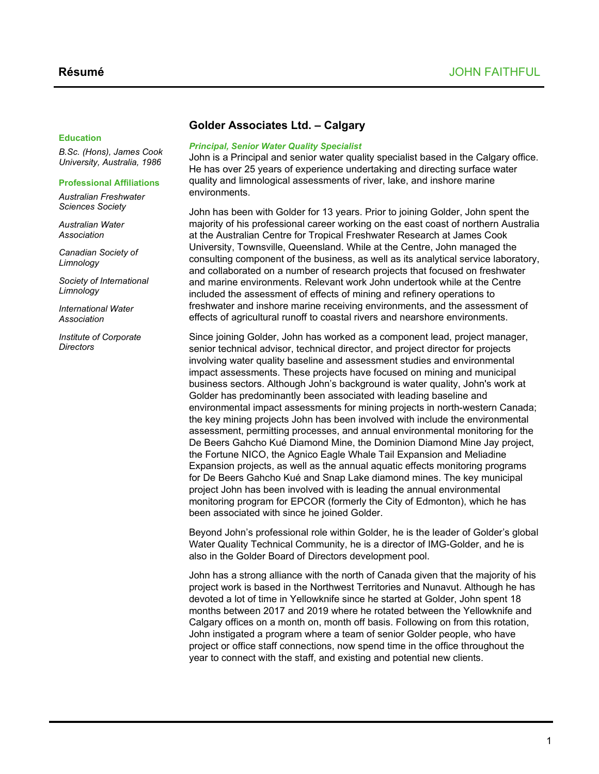## **Golder Associates Ltd. – Calgary**

#### **Education**

*B.Sc. (Hons), James Cook University, Australia, 1986*

#### **Professional Affiliations**

*Australian Freshwater Sciences Society*

*Australian Water Association*

*Canadian Society of Limnology*

*Society of International Limnology*

*International Water Association*

*Institute of Corporate Directors*

## *Principal, Senior Water Quality Specialist*

John is a Principal and senior water quality specialist based in the Calgary office. He has over 25 years of experience undertaking and directing surface water quality and limnological assessments of river, lake, and inshore marine environments.

John has been with Golder for 13 years. Prior to joining Golder, John spent the majority of his professional career working on the east coast of northern Australia at the Australian Centre for Tropical Freshwater Research at James Cook University, Townsville, Queensland. While at the Centre, John managed the consulting component of the business, as well as its analytical service laboratory, and collaborated on a number of research projects that focused on freshwater and marine environments. Relevant work John undertook while at the Centre included the assessment of effects of mining and refinery operations to freshwater and inshore marine receiving environments, and the assessment of effects of agricultural runoff to coastal rivers and nearshore environments.

Since joining Golder, John has worked as a component lead, project manager, senior technical advisor, technical director, and project director for projects involving water quality baseline and assessment studies and environmental impact assessments. These projects have focused on mining and municipal business sectors. Although John's background is water quality, John's work at Golder has predominantly been associated with leading baseline and environmental impact assessments for mining projects in north-western Canada; the key mining projects John has been involved with include the environmental assessment, permitting processes, and annual environmental monitoring for the De Beers Gahcho Kué Diamond Mine, the Dominion Diamond Mine Jay project, the Fortune NICO, the Agnico Eagle Whale Tail Expansion and Meliadine Expansion projects, as well as the annual aquatic effects monitoring programs for De Beers Gahcho Kué and Snap Lake diamond mines. The key municipal project John has been involved with is leading the annual environmental monitoring program for EPCOR (formerly the City of Edmonton), which he has been associated with since he joined Golder.

Beyond John's professional role within Golder, he is the leader of Golder's global Water Quality Technical Community, he is a director of IMG-Golder, and he is also in the Golder Board of Directors development pool.

John has a strong alliance with the north of Canada given that the majority of his project work is based in the Northwest Territories and Nunavut. Although he has devoted a lot of time in Yellowknife since he started at Golder, John spent 18 months between 2017 and 2019 where he rotated between the Yellowknife and Calgary offices on a month on, month off basis. Following on from this rotation, John instigated a program where a team of senior Golder people, who have project or office staff connections, now spend time in the office throughout the year to connect with the staff, and existing and potential new clients.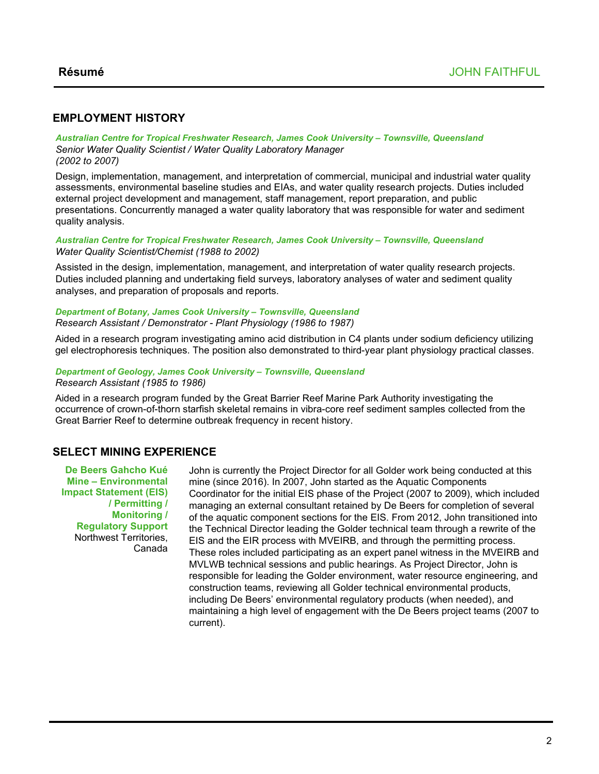## **EMPLOYMENT HISTORY**

*Australian Centre for Tropical Freshwater Research, James Cook University – Townsville, Queensland Senior Water Quality Scientist / Water Quality Laboratory Manager (2002 to 2007)*

Design, implementation, management, and interpretation of commercial, municipal and industrial water quality assessments, environmental baseline studies and EIAs, and water quality research projects. Duties included external project development and management, staff management, report preparation, and public presentations. Concurrently managed a water quality laboratory that was responsible for water and sediment quality analysis.

### *Australian Centre for Tropical Freshwater Research, James Cook University – Townsville, Queensland Water Quality Scientist/Chemist (1988 to 2002)*

Assisted in the design, implementation, management, and interpretation of water quality research projects. Duties included planning and undertaking field surveys, laboratory analyses of water and sediment quality analyses, and preparation of proposals and reports.

#### *Department of Botany, James Cook University – Townsville, Queensland Research Assistant / Demonstrator - Plant Physiology (1986 to 1987)*

Aided in a research program investigating amino acid distribution in C4 plants under sodium deficiency utilizing gel electrophoresis techniques. The position also demonstrated to third-year plant physiology practical classes.

### *Department of Geology, James Cook University – Townsville, Queensland Research Assistant (1985 to 1986)*

Aided in a research program funded by the Great Barrier Reef Marine Park Authority investigating the occurrence of crown-of-thorn starfish skeletal remains in vibra-core reef sediment samples collected from the Great Barrier Reef to determine outbreak frequency in recent history.

## **SELECT MINING EXPERIENCE**

**De Beers Gahcho Kué Mine – Environmental Impact Statement (EIS) / Permitting / Monitoring / Regulatory Support** Northwest Territories, Canada

John is currently the Project Director for all Golder work being conducted at this mine (since 2016). In 2007, John started as the Aquatic Components Coordinator for the initial EIS phase of the Project (2007 to 2009), which included managing an external consultant retained by De Beers for completion of several of the aquatic component sections for the EIS. From 2012, John transitioned into the Technical Director leading the Golder technical team through a rewrite of the EIS and the EIR process with MVEIRB, and through the permitting process. These roles included participating as an expert panel witness in the MVEIRB and MVLWB technical sessions and public hearings. As Project Director, John is responsible for leading the Golder environment, water resource engineering, and construction teams, reviewing all Golder technical environmental products, including De Beers' environmental regulatory products (when needed), and maintaining a high level of engagement with the De Beers project teams (2007 to current).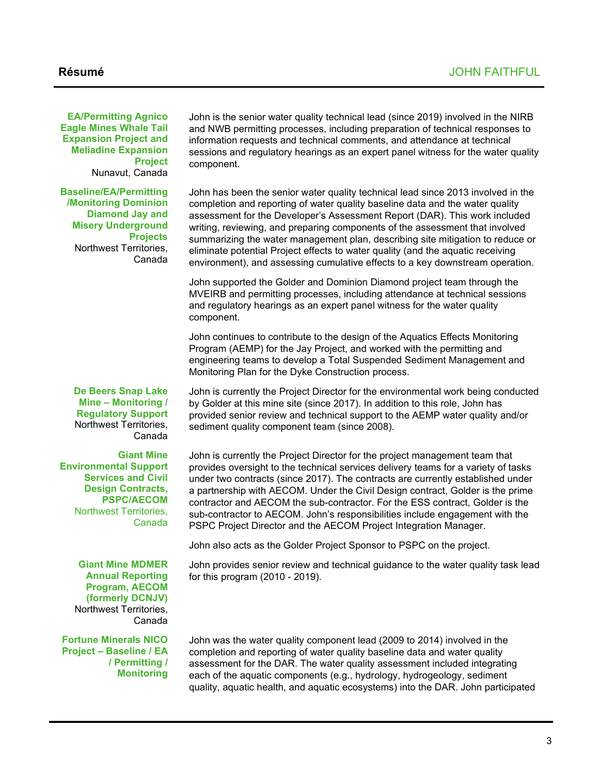**EA/Permitting Agnico Eagle Mines Whale Tail Expansion Project and Meliadine Expansion Project** Nunavut, Canada

**Baseline/EA/Permitting /Monitoring Dominion Diamond Jay and Misery Underground Projects** Northwest Territories, Canada

> **De Beers Snap Lake Mine – Monitoring / Regulatory Support** Northwest Territories, Canada

**Giant Mine Environmental Support Services and Civil Design Contracts, PSPC/AECOM** Northwest Territories, Canada

John is the senior water quality technical lead (since 2019) involved in the NIRB and NWB permitting processes, including preparation of technical responses to information requests and technical comments, and attendance at technical sessions and regulatory hearings as an expert panel witness for the water quality component.

John has been the senior water quality technical lead since 2013 involved in the completion and reporting of water quality baseline data and the water quality assessment for the Developer's Assessment Report (DAR). This work included writing, reviewing, and preparing components of the assessment that involved summarizing the water management plan, describing site mitigation to reduce or eliminate potential Project effects to water quality (and the aquatic receiving environment), and assessing cumulative effects to a key downstream operation.

John supported the Golder and Dominion Diamond project team through the MVEIRB and permitting processes, including attendance at technical sessions and regulatory hearings as an expert panel witness for the water quality component.

John continues to contribute to the design of the Aquatics Effects Monitoring Program (AEMP) for the Jay Project, and worked with the permitting and engineering teams to develop a Total Suspended Sediment Management and Monitoring Plan for the Dyke Construction process.

John is currently the Project Director for the environmental work being conducted by Golder at this mine site (since 2017). In addition to this role, John has provided senior review and technical support to the AEMP water quality and/or sediment quality component team (since 2008).

John is currently the Project Director for the project management team that provides oversight to the technical services delivery teams for a variety of tasks under two contracts (since 2017). The contracts are currently established under a partnership with AECOM. Under the Civil Design contract, Golder is the prime contractor and AECOM the sub-contractor. For the ESS contract, Golder is the sub-contractor to AECOM. John's responsibilities include engagement with the PSPC Project Director and the AECOM Project Integration Manager.

John also acts as the Golder Project Sponsor to PSPC on the project.

John provides senior review and technical guidance to the water quality task lead for this program (2010 - 2019).

**Giant Mine MDMER Annual Reporting Program, AECOM (formerly DCNJV)** Northwest Territories, Canada

**Fortune Minerals NICO Project – Baseline / EA / Permitting / Monitoring**

John was the water quality component lead (2009 to 2014) involved in the completion and reporting of water quality baseline data and water quality assessment for the DAR. The water quality assessment included integrating each of the aquatic components (e.g., hydrology, hydrogeology, sediment quality, aquatic health, and aquatic ecosystems) into the DAR. John participated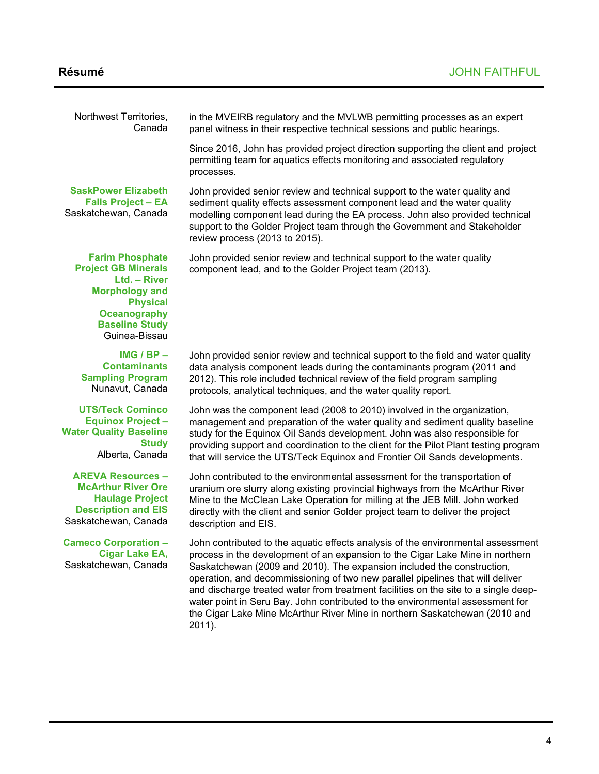| Northwest Territories,<br>Canada                                                                                                                                                  | in the MVEIRB regulatory and the MVLWB permitting processes as an expert<br>panel witness in their respective technical sessions and public hearings.                                                                                                                                                                                                                                                                                                                                                                                                                                         |
|-----------------------------------------------------------------------------------------------------------------------------------------------------------------------------------|-----------------------------------------------------------------------------------------------------------------------------------------------------------------------------------------------------------------------------------------------------------------------------------------------------------------------------------------------------------------------------------------------------------------------------------------------------------------------------------------------------------------------------------------------------------------------------------------------|
|                                                                                                                                                                                   | Since 2016, John has provided project direction supporting the client and project<br>permitting team for aquatics effects monitoring and associated regulatory<br>processes.                                                                                                                                                                                                                                                                                                                                                                                                                  |
| <b>SaskPower Elizabeth</b><br><b>Falls Project - EA</b><br>Saskatchewan, Canada                                                                                                   | John provided senior review and technical support to the water quality and<br>sediment quality effects assessment component lead and the water quality<br>modelling component lead during the EA process. John also provided technical<br>support to the Golder Project team through the Government and Stakeholder<br>review process (2013 to 2015).                                                                                                                                                                                                                                         |
| <b>Farim Phosphate</b><br><b>Project GB Minerals</b><br>Ltd. - River<br><b>Morphology and</b><br><b>Physical</b><br><b>Oceanography</b><br><b>Baseline Study</b><br>Guinea-Bissau | John provided senior review and technical support to the water quality<br>component lead, and to the Golder Project team (2013).                                                                                                                                                                                                                                                                                                                                                                                                                                                              |
| IMG $/$ BP $-$<br><b>Contaminants</b><br><b>Sampling Program</b><br>Nunavut, Canada                                                                                               | John provided senior review and technical support to the field and water quality<br>data analysis component leads during the contaminants program (2011 and<br>2012). This role included technical review of the field program sampling<br>protocols, analytical techniques, and the water quality report.                                                                                                                                                                                                                                                                                    |
| <b>UTS/Teck Cominco</b><br><b>Equinox Project -</b><br><b>Water Quality Baseline</b><br><b>Study</b><br>Alberta, Canada                                                           | John was the component lead (2008 to 2010) involved in the organization,<br>management and preparation of the water quality and sediment quality baseline<br>study for the Equinox Oil Sands development. John was also responsible for<br>providing support and coordination to the client for the Pilot Plant testing program<br>that will service the UTS/Teck Equinox and Frontier Oil Sands developments.                                                                                                                                                                                |
| <b>AREVA Resources -</b><br><b>McArthur River Ore</b><br><b>Haulage Project</b><br><b>Description and EIS</b><br>Saskatchewan, Canada                                             | John contributed to the environmental assessment for the transportation of<br>uranium ore slurry along existing provincial highways from the McArthur River<br>Mine to the McClean Lake Operation for milling at the JEB Mill. John worked<br>directly with the client and senior Golder project team to deliver the project<br>description and EIS.                                                                                                                                                                                                                                          |
| <b>Cameco Corporation -</b><br><b>Cigar Lake EA,</b><br>Saskatchewan, Canada                                                                                                      | John contributed to the aquatic effects analysis of the environmental assessment<br>process in the development of an expansion to the Cigar Lake Mine in northern<br>Saskatchewan (2009 and 2010). The expansion included the construction,<br>operation, and decommissioning of two new parallel pipelines that will deliver<br>and discharge treated water from treatment facilities on the site to a single deep-<br>water point in Seru Bay. John contributed to the environmental assessment for<br>the Cigar Lake Mine McArthur River Mine in northern Saskatchewan (2010 and<br>2011). |
|                                                                                                                                                                                   |                                                                                                                                                                                                                                                                                                                                                                                                                                                                                                                                                                                               |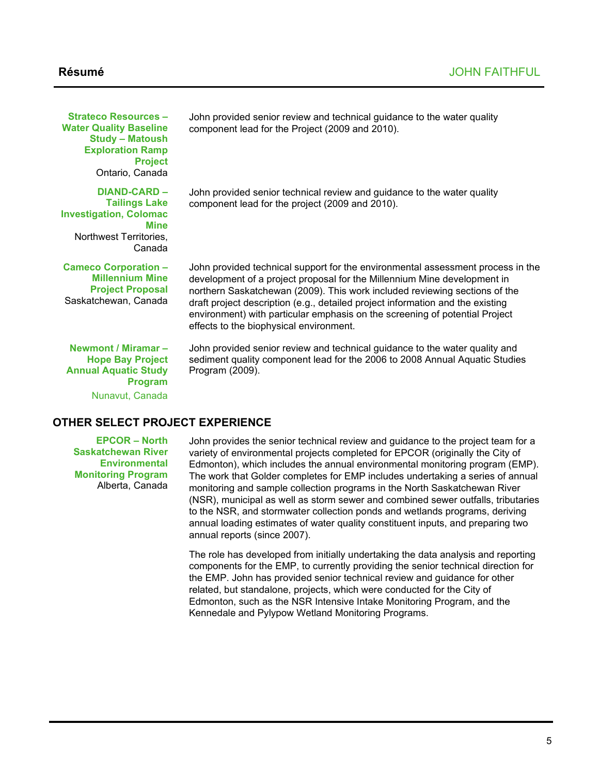| <b>Strateco Resources -</b><br><b>Water Quality Baseline</b><br><b>Study - Matoush</b><br><b>Exploration Ramp</b><br><b>Project</b><br>Ontario, Canada | John provided senior review and technical guidance to the water quality<br>component lead for the Project (2009 and 2010).                                                                                                                                                                                                                                                                                                                            |
|--------------------------------------------------------------------------------------------------------------------------------------------------------|-------------------------------------------------------------------------------------------------------------------------------------------------------------------------------------------------------------------------------------------------------------------------------------------------------------------------------------------------------------------------------------------------------------------------------------------------------|
| DIAND-CARD -<br><b>Tailings Lake</b><br><b>Investigation, Colomac</b><br><b>Mine</b><br>Northwest Territories,<br>Canada                               | John provided senior technical review and guidance to the water quality<br>component lead for the project (2009 and 2010).                                                                                                                                                                                                                                                                                                                            |
| <b>Cameco Corporation -</b><br><b>Millennium Mine</b><br><b>Project Proposal</b><br>Saskatchewan, Canada                                               | John provided technical support for the environmental assessment process in the<br>development of a project proposal for the Millennium Mine development in<br>northern Saskatchewan (2009). This work included reviewing sections of the<br>draft project description (e.g., detailed project information and the existing<br>environment) with particular emphasis on the screening of potential Project<br>effects to the biophysical environment. |
| Newmont / Miramar -<br><b>Hope Bay Project</b><br><b>Annual Aquatic Study</b><br><b>Program</b><br>Nunavut, Canada                                     | John provided senior review and technical guidance to the water quality and<br>sediment quality component lead for the 2006 to 2008 Annual Aquatic Studies<br>Program (2009).                                                                                                                                                                                                                                                                         |
| THER SELECT PROJECT EXPERIENCE                                                                                                                         |                                                                                                                                                                                                                                                                                                                                                                                                                                                       |

## **OTHER SELECT PROJECT EXPERIENCE**

**EPCOR – North Saskatchewan River Environmental Monitoring Program** Alberta, Canada

John provides the senior technical review and guidance to the project team for a variety of environmental projects completed for EPCOR (originally the City of Edmonton), which includes the annual environmental monitoring program (EMP). The work that Golder completes for EMP includes undertaking a series of annual monitoring and sample collection programs in the North Saskatchewan River (NSR), municipal as well as storm sewer and combined sewer outfalls, tributaries to the NSR, and stormwater collection ponds and wetlands programs, deriving annual loading estimates of water quality constituent inputs, and preparing two annual reports (since 2007).

The role has developed from initially undertaking the data analysis and reporting components for the EMP, to currently providing the senior technical direction for the EMP. John has provided senior technical review and guidance for other related, but standalone, projects, which were conducted for the City of Edmonton, such as the NSR Intensive Intake Monitoring Program, and the Kennedale and Pylypow Wetland Monitoring Programs.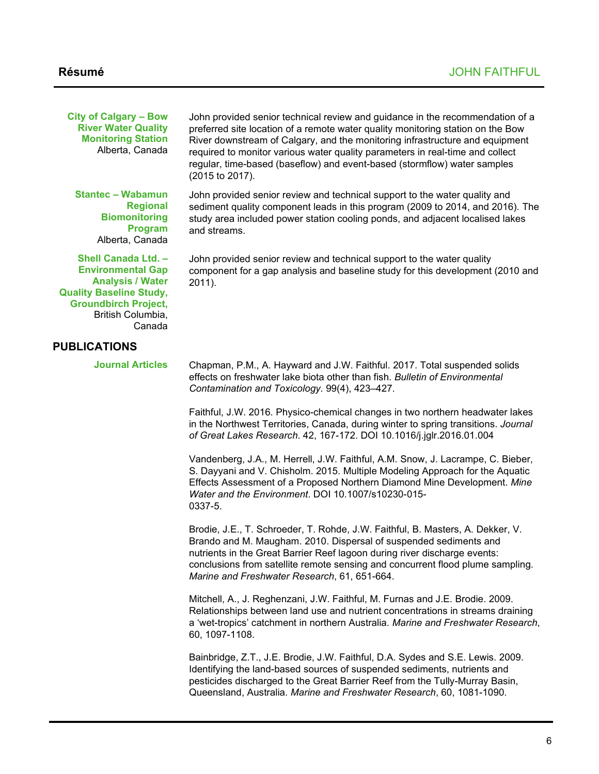**City of Calgary – Bow River Water Quality Monitoring Station**  Alberta, Canada

**Stantec – Wabamun Regional Biomonitoring Program**  Alberta, Canada

**Shell Canada Ltd. – Environmental Gap Analysis / Water Quality Baseline Study, Groundbirch Project,**  British Columbia, Canada

## **PUBLICATIONS**

**Journal Articles**

John provided senior technical review and guidance in the recommendation of a preferred site location of a remote water quality monitoring station on the Bow River downstream of Calgary, and the monitoring infrastructure and equipment required to monitor various water quality parameters in real-time and collect regular, time-based (baseflow) and event-based (stormflow) water samples (2015 to 2017).

John provided senior review and technical support to the water quality and sediment quality component leads in this program (2009 to 2014, and 2016). The study area included power station cooling ponds, and adjacent localised lakes and streams.

John provided senior review and technical support to the water quality component for a gap analysis and baseline study for this development (2010 and 2011).

Chapman, P.M., A. Hayward and J.W. Faithful. 2017. Total suspended solids effects on freshwater lake biota other than fish. *Bulletin of Environmental Contamination and Toxicology.* 99(4), 423–427.

Faithful, J.W. 2016. Physico-chemical changes in two northern headwater lakes in the Northwest Territories, Canada, during winter to spring transitions. *Journal of Great Lakes Research*. 42, 167-172. DOI 10.1016/j.jglr.2016.01.004

Vandenberg, J.A., M. Herrell, J.W. Faithful, A.M. Snow, J. Lacrampe, C. Bieber, S. Dayyani and V. Chisholm. 2015. Multiple Modeling Approach for the Aquatic Effects Assessment of a Proposed Northern Diamond Mine Development. *Mine Water and the Environment*. DOI 10.1007/s10230-015- 0337-5.

Brodie, J.E., T. Schroeder, T. Rohde, J.W. Faithful, B. Masters, A. Dekker, V. Brando and M. Maugham. 2010. Dispersal of suspended sediments and nutrients in the Great Barrier Reef lagoon during river discharge events: conclusions from satellite remote sensing and concurrent flood plume sampling. *Marine and Freshwater Research*, 61, 651-664.

Mitchell, A., J. Reghenzani, J.W. Faithful, M. Furnas and J.E. Brodie. 2009. Relationships between land use and nutrient concentrations in streams draining a 'wet-tropics' catchment in northern Australia. *Marine and Freshwater Research*, 60, 1097-1108.

Bainbridge, Z.T., J.E. Brodie, J.W. Faithful, D.A. Sydes and S.E. Lewis. 2009. Identifying the land-based sources of suspended sediments, nutrients and pesticides discharged to the Great Barrier Reef from the Tully-Murray Basin, Queensland, Australia. *Marine and Freshwater Research*, 60, 1081-1090.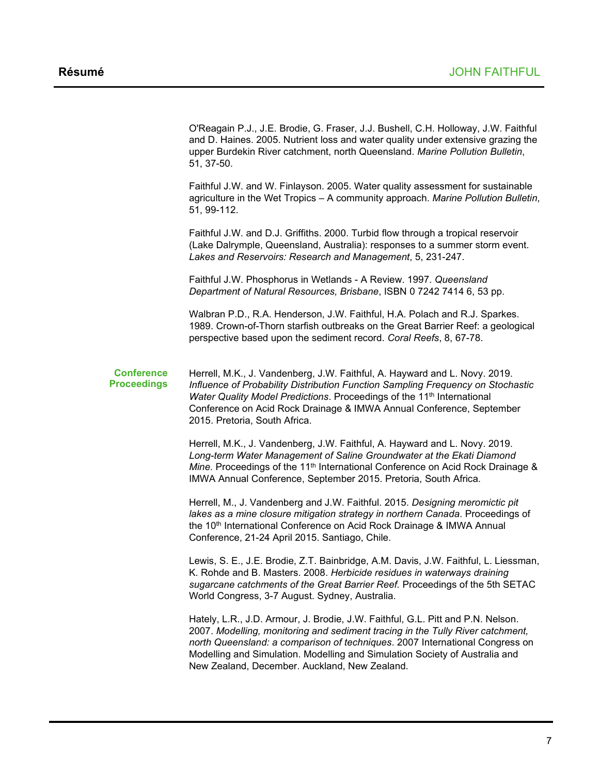O'Reagain P.J., J.E. Brodie, G. Fraser, J.J. Bushell, C.H. Holloway, J.W. Faithful and D. Haines. 2005. Nutrient loss and water quality under extensive grazing the upper Burdekin River catchment, north Queensland. *Marine Pollution Bulletin*, 51, 37-50.

Faithful J.W. and W. Finlayson. 2005. Water quality assessment for sustainable agriculture in the Wet Tropics – A community approach. *Marine Pollution Bulletin*, 51, 99-112.

Faithful J.W. and D.J. Griffiths. 2000. Turbid flow through a tropical reservoir (Lake Dalrymple, Queensland, Australia): responses to a summer storm event. *Lakes and Reservoirs: Research and Management*, 5, 231-247.

Faithful J.W. Phosphorus in Wetlands - A Review. 1997. *Queensland Department of Natural Resources, Brisbane*, ISBN 0 7242 7414 6, 53 pp.

Walbran P.D., R.A. Henderson, J.W. Faithful, H.A. Polach and R.J. Sparkes. 1989. Crown-of-Thorn starfish outbreaks on the Great Barrier Reef: a geological perspective based upon the sediment record. *Coral Reefs*, 8, 67-78.

### **Conference Proceedings**

Herrell, M.K., J. Vandenberg, J.W. Faithful, A. Hayward and L. Novy. 2019. *Influence of Probability Distribution Function Sampling Frequency on Stochastic Water Quality Model Predictions.* Proceedings of the 11<sup>th</sup> International Conference on Acid Rock Drainage & IMWA Annual Conference, September 2015. Pretoria, South Africa.

Herrell, M.K., J. Vandenberg, J.W. Faithful, A. Hayward and L. Novy. 2019. *Long-term Water Management of Saline Groundwater at the Ekati Diamond Mine*. Proceedings of the 11<sup>th</sup> International Conference on Acid Rock Drainage & IMWA Annual Conference, September 2015. Pretoria, South Africa.

Herrell, M., J. Vandenberg and J.W. Faithful. 2015. *Designing meromictic pit lakes as a mine closure mitigation strategy in northern Canada*. Proceedings of the 10<sup>th</sup> International Conference on Acid Rock Drainage & IMWA Annual Conference, 21-24 April 2015. Santiago, Chile.

Lewis, S. E., J.E. Brodie, Z.T. Bainbridge, A.M. Davis, J.W. Faithful, L. Liessman, K. Rohde and B. Masters. 2008. *Herbicide residues in waterways draining sugarcane catchments of the Great Barrier Reef.* Proceedings of the 5th SETAC World Congress, 3-7 August. Sydney, Australia.

Hately, L.R., J.D. Armour, J. Brodie, J.W. Faithful, G.L. Pitt and P.N. Nelson. 2007. *Modelling, monitoring and sediment tracing in the Tully River catchment, north Queensland: a comparison of techniques*. 2007 International Congress on Modelling and Simulation. Modelling and Simulation Society of Australia and New Zealand, December. Auckland, New Zealand.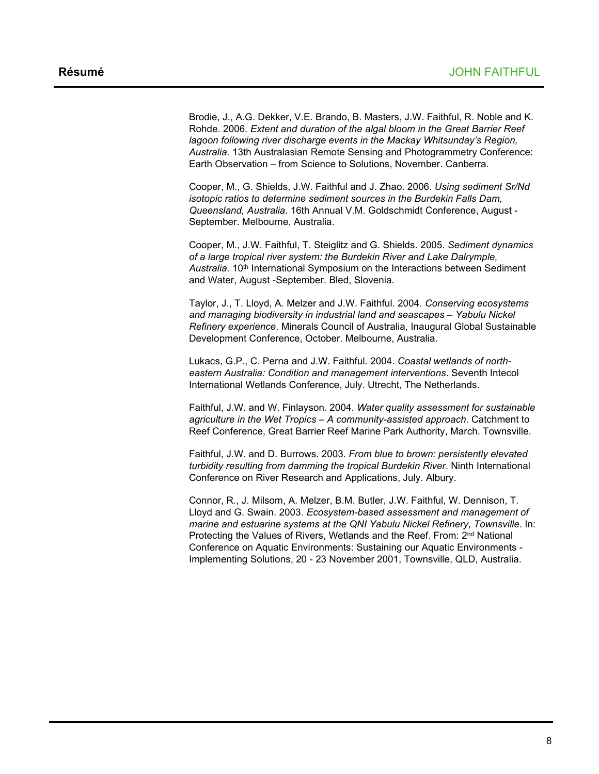Brodie, J., A.G. Dekker, V.E. Brando, B. Masters, J.W. Faithful, R. Noble and K. Rohde. 2006. *Extent and duration of the algal bloom in the Great Barrier Reef lagoon following river discharge events in the Mackay Whitsunday's Region, Australia*. 13th Australasian Remote Sensing and Photogrammetry Conference: Earth Observation – from Science to Solutions, November. Canberra.

Cooper, M., G. Shields, J.W. Faithful and J. Zhao. 2006. *Using sediment Sr/Nd isotopic ratios to determine sediment sources in the Burdekin Falls Dam, Queensland, Australia*. 16th Annual V.M. Goldschmidt Conference, August - September. Melbourne, Australia.

Cooper, M., J.W. Faithful, T. Steiglitz and G. Shields. 2005. *Sediment dynamics of a large tropical river system: the Burdekin River and Lake Dalrymple, Australia*. 10th International Symposium on the Interactions between Sediment and Water, August -September. Bled, Slovenia.

Taylor, J., T. Lloyd, A. Melzer and J.W. Faithful. 2004. *Conserving ecosystems and managing biodiversity in industrial land and seascapes – Yabulu Nickel Refinery experience*. Minerals Council of Australia, Inaugural Global Sustainable Development Conference, October. Melbourne, Australia.

Lukacs, G.P., C. Perna and J.W. Faithful. 2004. *Coastal wetlands of northeastern Australia: Condition and management interventions*. Seventh Intecol International Wetlands Conference, July. Utrecht, The Netherlands.

Faithful, J.W. and W. Finlayson. 2004. *Water quality assessment for sustainable agriculture in the Wet Tropics – A community-assisted approach*. Catchment to Reef Conference, Great Barrier Reef Marine Park Authority, March. Townsville.

Faithful, J.W. and D. Burrows. 2003. *From blue to brown: persistently elevated turbidity resulting from damming the tropical Burdekin River*. Ninth International Conference on River Research and Applications, July. Albury.

Connor, R., J. Milsom, A. Melzer, B.M. Butler, J.W. Faithful, W. Dennison, T. Lloyd and G. Swain. 2003. *Ecosystem-based assessment and management of marine and estuarine systems at the QNI Yabulu Nickel Refinery, Townsville*. In: Protecting the Values of Rivers, Wetlands and the Reef. From: 2<sup>nd</sup> National Conference on Aquatic Environments: Sustaining our Aquatic Environments - Implementing Solutions, 20 - 23 November 2001, Townsville, QLD, Australia.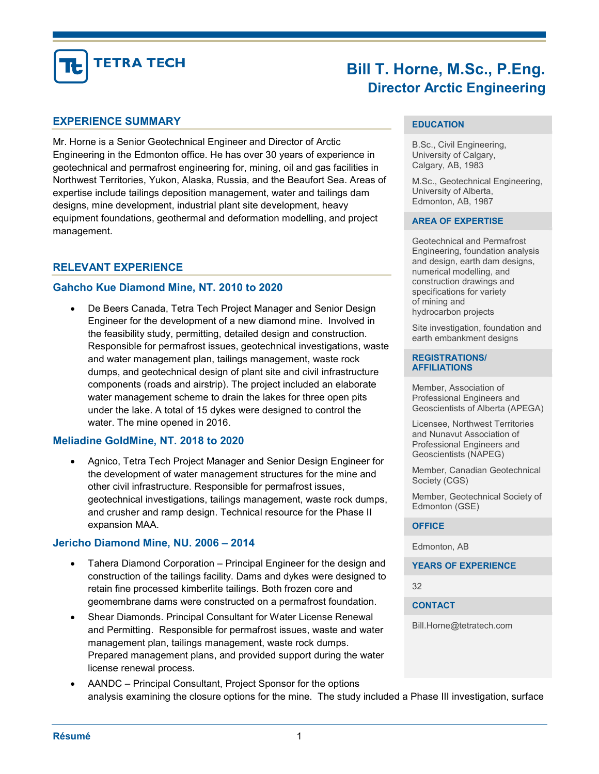

# Bill T. Horne, M.Sc., P.Eng. Director Arctic Engineering

### EXPERIENCE SUMMARY

Mr. Horne is a Senior Geotechnical Engineer and Director of Arctic Engineering in the Edmonton office. He has over 30 years of experience in geotechnical and permafrost engineering for, mining, oil and gas facilities in Northwest Territories, Yukon, Alaska, Russia, and the Beaufort Sea. Areas of expertise include tailings deposition management, water and tailings dam designs, mine development, industrial plant site development, heavy equipment foundations, geothermal and deformation modelling, and project management.

## RELEVANT EXPERIENCE

### Gahcho Kue Diamond Mine, NT. 2010 to 2020

 De Beers Canada, Tetra Tech Project Manager and Senior Design Engineer for the development of a new diamond mine. Involved in the feasibility study, permitting, detailed design and construction. Responsible for permafrost issues, geotechnical investigations, waste and water management plan, tailings management, waste rock dumps, and geotechnical design of plant site and civil infrastructure components (roads and airstrip). The project included an elaborate water management scheme to drain the lakes for three open pits under the lake. A total of 15 dykes were designed to control the water. The mine opened in 2016.

### Meliadine GoldMine, NT. 2018 to 2020

 Agnico, Tetra Tech Project Manager and Senior Design Engineer for the development of water management structures for the mine and other civil infrastructure. Responsible for permafrost issues, geotechnical investigations, tailings management, waste rock dumps, and crusher and ramp design. Technical resource for the Phase II expansion MAA.

### Jericho Diamond Mine, NU. 2006 – 2014

- Tahera Diamond Corporation Principal Engineer for the design and construction of the tailings facility. Dams and dykes were designed to retain fine processed kimberlite tailings. Both frozen core and geomembrane dams were constructed on a permafrost foundation.
- Shear Diamonds. Principal Consultant for Water License Renewal and Permitting. Responsible for permafrost issues, waste and water management plan, tailings management, waste rock dumps. Prepared management plans, and provided support during the water license renewal process.
- AANDC Principal Consultant, Project Sponsor for the options analysis examining the closure options for the mine. The study included a Phase III investigation, surface

### **EDUCATION**

B.Sc., Civil Engineering, University of Calgary, Calgary, AB, 1983

M.Sc., Geotechnical Engineering, University of Alberta, Edmonton, AB, 1987

#### AREA OF EXPERTISE

Geotechnical and Permafrost Engineering, foundation analysis and design, earth dam designs, numerical modelling, and construction drawings and specifications for variety of mining and hydrocarbon projects

Site investigation, foundation and earth embankment designs

#### REGISTRATIONS/ **AFFILIATIONS**

Member, Association of Professional Engineers and Geoscientists of Alberta (APEGA)

Licensee, Northwest Territories and Nunavut Association of Professional Engineers and Geoscientists (NAPEG)

Member, Canadian Geotechnical Society (CGS)

Member, Geotechnical Society of Edmonton (GSE)

#### **OFFICE**

Edmonton, AB

YEARS OF EXPERIENCE

32

**CONTACT** 

Bill.Horne@tetratech.com